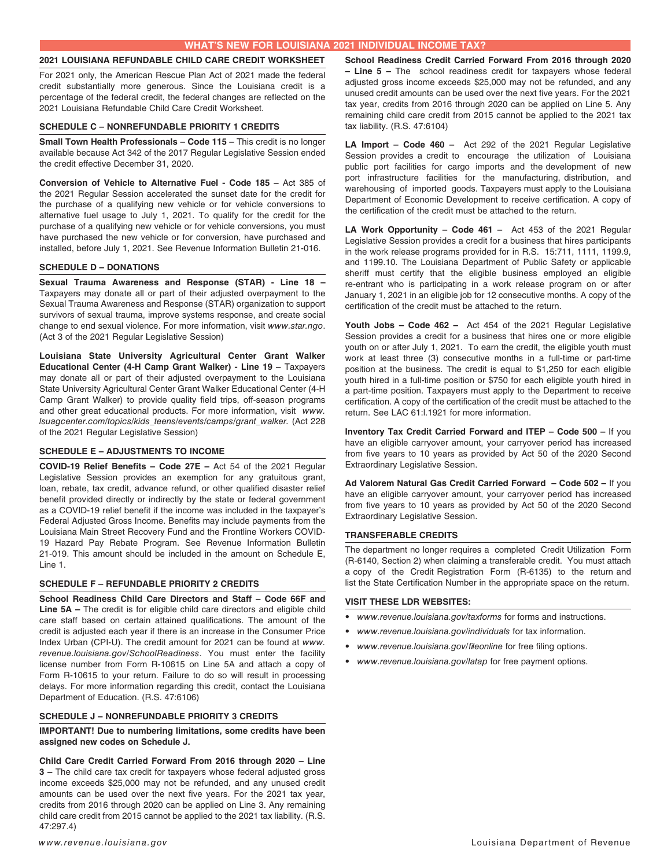## **2021 LOUISIANA REFUNDABLE CHILD CARE CREDIT WORKSHEET**

For 2021 only, the American Rescue Plan Act of 2021 made the federal credit substantially more generous. Since the Louisiana credit is a percentage of the federal credit, the federal changes are reflected on the 2021 Louisiana Refundable Child Care Credit Worksheet.

## **SCHEDULE C – NONREFUNDABLE PRIORITY 1 CREDITS**

**Small Town Health Professionals - Code 115 - This credit is no longer** available because Act 342 of the 2017 Regular Legislative Session ended the credit effective December 31, 2020.

**Conversion of Vehicle to Alternative Fuel - Code 185 –** Act 385 of the 2021 Regular Session accelerated the sunset date for the credit for the purchase of a qualifying new vehicle or for vehicle conversions to alternative fuel usage to July 1, 2021. To qualify for the credit for the purchase of a qualifying new vehicle or for vehicle conversions, you must have purchased the new vehicle or for conversion, have purchased and installed, before July 1, 2021. See Revenue Information Bulletin 21-016.

## **SCHEDULE D – DONATIONS**

**Sexual Trauma Awareness and Response (STAR) - Line 18 –**  Taxpayers may donate all or part of their adjusted overpayment to the Sexual Trauma Awareness and Response (STAR) organization to support survivors of sexual trauma, improve systems response, and create social change to end sexual violence. For more information, visit *www.star.ngo*. (Act 3 of the 2021 Regular Legislative Session)

**Louisiana State University Agricultural Center Grant Walker Educational Center (4-H Camp Grant Walker) - Line 19 –** Taxpayers may donate all or part of their adjusted overpayment to the Louisiana State University Agricultural Center Grant Walker Educational Center (4-H Camp Grant Walker) to provide quality field trips, off-season programs and other great educational products. For more information, visit *www. lsuagcenter.com/topics/kids\_teens/events/camps/grant\_walker.* (Act 228 of the 2021 Regular Legislative Session)

## **SCHEDULE E – ADJUSTMENTS TO INCOME**

**COVID-19 Relief Benefits – Code 27E –** Act 54 of the 2021 Regular Legislative Session provides an exemption for any gratuitous grant, loan, rebate, tax credit, advance refund, or other qualified disaster relief benefit provided directly or indirectly by the state or federal government as a COVID-19 relief benefit if the income was included in the taxpayer's Federal Adjusted Gross Income. Benefits may include payments from the Louisiana Main Street Recovery Fund and the Frontline Workers COVID-19 Hazard Pay Rebate Program. See Revenue Information Bulletin 21-019. This amount should be included in the amount on Schedule E, Line 1.

## **SCHEDULE F – REFUNDABLE PRIORITY 2 CREDITS**

**School Readiness Child Care Directors and Staff – Code 66F and Line 5A –** The credit is for eligible child care directors and eligible child care staff based on certain attained qualifications. The amount of the credit is adjusted each year if there is an increase in the Consumer Price Index Urban (CPI-U). The credit amount for 2021 can be found at *www. revenue.louisiana.gov/SchoolReadiness*. You must enter the facility license number from Form R-10615 on Line 5A and attach a copy of Form R-10615 to your return. Failure to do so will result in processing delays. For more information regarding this credit, contact the Louisiana Department of Education. (R.S. 47:6106)

## **SCHEDULE J – NONREFUNDABLE PRIORITY 3 CREDITS**

**IMPORTANT! Due to numbering limitations, some credits have been assigned new codes on Schedule J.** 

**Child Care Credit Carried Forward From 2016 through 2020 – Line 3 –** The child care tax credit for taxpayers whose federal adjusted gross income exceeds \$25,000 may not be refunded, and any unused credit amounts can be used over the next five years. For the 2021 tax year, credits from 2016 through 2020 can be applied on Line 3. Any remaining child care credit from 2015 cannot be applied to the 2021 tax liability. (R.S. 47:297.4)

**School Readiness Credit Carried Forward From 2016 through 2020 – Line 5 –** The school readiness credit for taxpayers whose federal adjusted gross income exceeds \$25,000 may not be refunded, and any unused credit amounts can be used over the next five years. For the 2021 tax year, credits from 2016 through 2020 can be applied on Line 5. Any remaining child care credit from 2015 cannot be applied to the 2021 tax tax liability. (R.S. 47:6104)

**LA Import – Code 460 –** Act 292 of the 2021 Regular Legislative Session provides a credit to encourage the utilization of Louisiana public port facilities for cargo imports and the development of new port infrastructure facilities for the manufacturing, distribution, and warehousing of imported goods. Taxpayers must apply to the Louisiana Department of Economic Development to receive certification. A copy of the certification of the credit must be attached to the return.

**LA Work Opportunity – Code 461 –** Act 453 of the 2021 Regular Legislative Session provides a credit for a business that hires participants in the work release programs provided for in R.S. 15:711, 1111, 1199.9, and 1199.10. The Louisiana Department of Public Safety or applicable sheriff must certify that the eligible business employed an eligible re-entrant who is participating in a work release program on or after January 1, 2021 in an eligible job for 12 consecutive months. A copy of the certification of the credit must be attached to the return.

**Youth Jobs – Code 462 –** Act 454 of the 2021 Regular Legislative Session provides a credit for a business that hires one or more eligible youth on or after July 1, 2021. To earn the credit, the eligible youth must work at least three (3) consecutive months in a full-time or part-time position at the business. The credit is equal to \$1,250 for each eligible youth hired in a full-time position or \$750 for each eligible youth hired in a part-time position. Taxpayers must apply to the Department to receive certification. A copy of the certification of the credit must be attached to the return. See LAC 61:l.1921 for more information.

**Inventory Tax Credit Carried Forward and ITEP – Code 500 –** If you have an eligible carryover amount, your carryover period has increased from five years to 10 years as provided by Act 50 of the 2020 Second Extraordinary Legislative Session.

**Ad Valorem Natural Gas Credit Carried Forward – Code 502 –** If you have an eligible carryover amount, your carryover period has increased from five years to 10 years as provided by Act 50 of the 2020 Second Extraordinary Legislative Session.

## **TRANSFERABLE CREDITS**

The department no longer requires a completed Credit Utilization Form (R-6140, Section 2) when claiming a transferable credit. You must attach a copy of the Credit Registration Form (R-6135) to the return and list the State Certification Number in the appropriate space on the return.

## **VISIT THESE LDR WEBSITES:**

- *• www.revenue.louisiana.gov/taxforms* for forms and instructions.
- *• www.revenue.louisiana.gov/individuals* for tax information.
- *• www.revenue.louisiana.gov/fileonline* for free filing options.
- *• www.revenue.louisiana.gov/latap* for free payment options.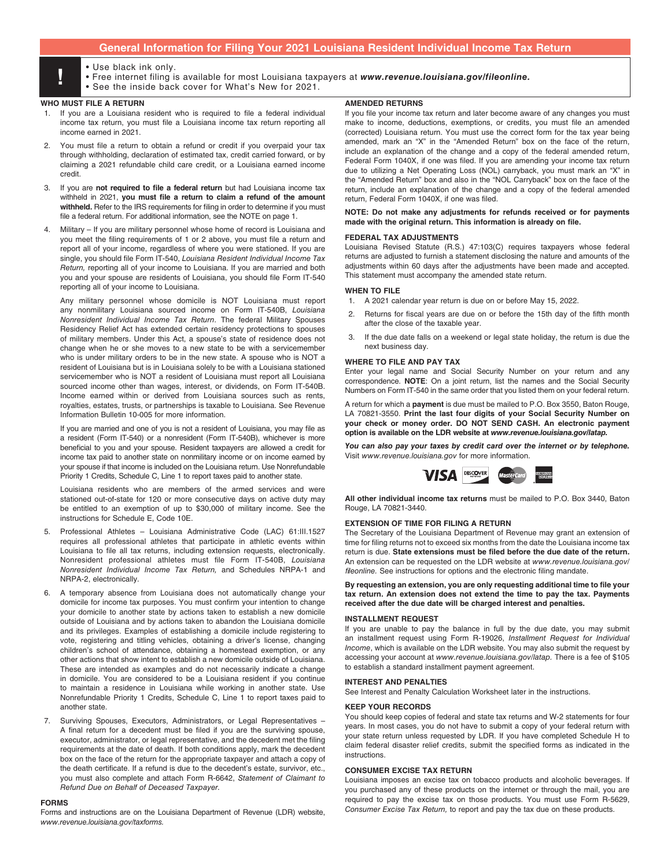# **General Information for Filing Your 2021 Louisiana Resident Individual Income Tax Return**

- 
- Use black ink only.<br>• Free internet filing is available for most Louisiana taxpayers at *www.revenue.louisiana.gov/fileonline.*<br>• See the inside back cover for What's New for 2021
	- See the inside back cover for What's New for 2021.

### **WHO MUST FILE A RETURN**

- 1. If you are a Louisiana resident who is required to file a federal individual income tax return, you must file a Louisiana income tax return reporting all income earned in 2021.
- 2. You must file a return to obtain a refund or credit if you overpaid your tax through withholding, declaration of estimated tax, credit carried forward, or by claiming a 2021 refundable child care credit, or a Louisiana earned income credit.
- If you are not required to file a federal return but had Louisiana income tax withheld in 2021, **you must file a return to claim a refund of the amount withheld.** Refer to the IRS requirements for filing in order to determine if you must file a federal return. For additional information, see the NOTE on page 1.
- 4. Military If you are military personnel whose home of record is Louisiana and you meet the filing requirements of 1 or 2 above, you must file a return and report all of your income, regardless of where you were stationed. If you are single, you should file Form IT-540, *Louisiana Resident Individual Income Tax Return,* reporting all of your income to Louisiana. If you are married and both you and your spouse are residents of Louisiana, you should file Form IT-540 reporting all of your income to Louisiana.

Any military personnel whose domicile is NOT Louisiana must report any nonmilitary Louisiana sourced income on Form IT-540B, *Louisiana Nonresident Individual Income Tax Return*. The federal Military Spouses Residency Relief Act has extended certain residency protections to spouses of military members. Under this Act, a spouse's state of residence does not change when he or she moves to a new state to be with a servicemember who is under military orders to be in the new state. A spouse who is NOT a resident of Louisiana but is in Louisiana solely to be with a Louisiana stationed servicemember who is NOT a resident of Louisiana must report all Louisiana sourced income other than wages, interest, or dividends, on Form IT-540B. Income earned within or derived from Louisiana sources such as rents, royalties, estates, trusts, or partnerships is taxable to Louisiana. See Revenue Information Bulletin 10-005 for more information.

If you are married and one of you is not a resident of Louisiana, you may file as a resident (Form IT-540) or a nonresident (Form IT-540B), whichever is more beneficial to you and your spouse. Resident taxpayers are allowed a credit for income tax paid to another state on nonmilitary income or on income earned by your spouse if that income is included on the Louisiana return. Use Nonrefundable Priority 1 Credits, Schedule C, Line 1 to report taxes paid to another state.

Louisiana residents who are members of the armed services and were stationed out-of-state for 120 or more consecutive days on active duty may be entitled to an exemption of up to \$30,000 of military income. See the instructions for Schedule E, Code 10E.

- 5. Professional Athletes Louisiana Administrative Code (LAC) 61:III.1527 requires all professional athletes that participate in athletic events within Louisiana to file all tax returns, including extension requests, electronically. Nonresident professional athletes must file Form IT-540B, *Louisiana Nonresident Individual Income Tax Return,* and Schedules NRPA-1 and NRPA-2, electronically.
- 6. A temporary absence from Louisiana does not automatically change your domicile for income tax purposes. You must confirm your intention to change your domicile to another state by actions taken to establish a new domicile outside of Louisiana and by actions taken to abandon the Louisiana domicile and its privileges. Examples of establishing a domicile include registering to vote, registering and titling vehicles, obtaining a driver's license, changing children's school of attendance, obtaining a homestead exemption, or any other actions that show intent to establish a new domicile outside of Louisiana. These are intended as examples and do not necessarily indicate a change in domicile. You are considered to be a Louisiana resident if you continue to maintain a residence in Louisiana while working in another state. Use Nonrefundable Priority 1 Credits, Schedule C, Line 1 to report taxes paid to another state.
- 7. Surviving Spouses, Executors, Administrators, or Legal Representatives A final return for a decedent must be filed if you are the surviving spouse, executor, administrator, or legal representative, and the decedent met the filing requirements at the date of death. If both conditions apply, mark the decedent box on the face of the return for the appropriate taxpayer and attach a copy of the death certificate. If a refund is due to the decedent's estate, survivor, etc., you must also complete and attach Form R-6642, *Statement of Claimant to Refund Due on Behalf of Deceased Taxpayer.*

### **FORMS**

Forms and instructions are on the Louisiana Department of Revenue (LDR) website, *www.revenue.louisiana.gov/taxforms.*

## **AMENDED RETURNS**

If you file your income tax return and later become aware of any changes you must make to income, deductions, exemptions, or credits, you must file an amended (corrected) Louisiana return. You must use the correct form for the tax year being amended, mark an "X" in the "Amended Return" box on the face of the return, include an explanation of the change and a copy of the federal amended return, Federal Form 1040X, if one was filed. If you are amending your income tax return due to utilizing a Net Operating Loss (NOL) carryback, you must mark an "X" in the "Amended Return" box and also in the "NOL Carryback" box on the face of the return, include an explanation of the change and a copy of the federal amended return, Federal Form 1040X, if one was filed.

### **NOTE: Do not make any adjustments for refunds received or for payments made with the original return. This information is already on file.**

### **FEDERAL TAX ADJUSTMENTS**

Louisiana Revised Statute (R.S.) 47:103(C) requires taxpayers whose federal returns are adjusted to furnish a statement disclosing the nature and amounts of the adjustments within 60 days after the adjustments have been made and accepted. This statement must accompany the amended state return.

## **WHEN TO FILE**

- 1. A 2021 calendar year return is due on or before May 15, 2022.
- 2. Returns for fiscal years are due on or before the 15th day of the fifth month after the close of the taxable year.
- 3. If the due date falls on a weekend or legal state holiday, the return is due the next business day.

### **WHERE TO FILE AND PAY TAX**

Enter your legal name and Social Security Number on your return and any correspondence. **NOTE**: On a joint return, list the names and the Social Security Numbers on Form IT-540 in the same order that you listed them on your federal return.

A return for which a **payment** is due must be mailed to P.O. Box 3550, Baton Rouge, LA 70821-3550. **Print the last four digits of your Social Security Number on your check or money order. DO NOT SEND CASH. An electronic payment option is available on the LDR website at** *www.revenue.louisiana.gov/latap.*

*You can also pay your taxes by credit card over the internet or by telephone.*  Visit *www.revenue.louisiana.gov* for more information.



**All other individual income tax returns** must be mailed to P.O. Box 3440, Baton Rouge, LA 70821-3440.

## **EXTENSION OF TIME FOR FILING A RETURN**

The Secretary of the Louisiana Department of Revenue may grant an extension of time for filing returns not to exceed six months from the date the Louisiana income tax return is due. **State extensions must be filed before the due date of the return.**  An extension can be requested on the LDR website at *www.revenue.louisiana.gov/ fileonline.* See instructions for options and the electronic filing mandate.

**By requesting an extension, you are only requesting additional time to file your tax return. An extension does not extend the time to pay the tax. Payments received after the due date will be charged interest and penalties.** 

### **INSTALLMENT REQUEST**

If you are unable to pay the balance in full by the due date, you may submit an installment request using Form R-19026, *Installment Request for Individual Income*, which is available on the LDR website. You may also submit the request by accessing your account at *www.revenue.louisiana.gov/latap.* There is a fee of \$105 to establish a standard installment payment agreement.

### **INTEREST AND PENALTIES**

See Interest and Penalty Calculation Worksheet later in the instructions.

### **KEEP YOUR RECORDS**

You should keep copies of federal and state tax returns and W-2 statements for four years. In most cases, you do not have to submit a copy of your federal return with your state return unless requested by LDR. If you have completed Schedule H to claim federal disaster relief credits, submit the specified forms as indicated in the instructions.

### **CONSUMER EXCISE TAX RETURN**

Louisiana imposes an excise tax on tobacco products and alcoholic beverages. If you purchased any of these products on the internet or through the mail, you are required to pay the excise tax on those products. You must use Form R-5629, *Consumer Excise Tax Return,* to report and pay the tax due on these products.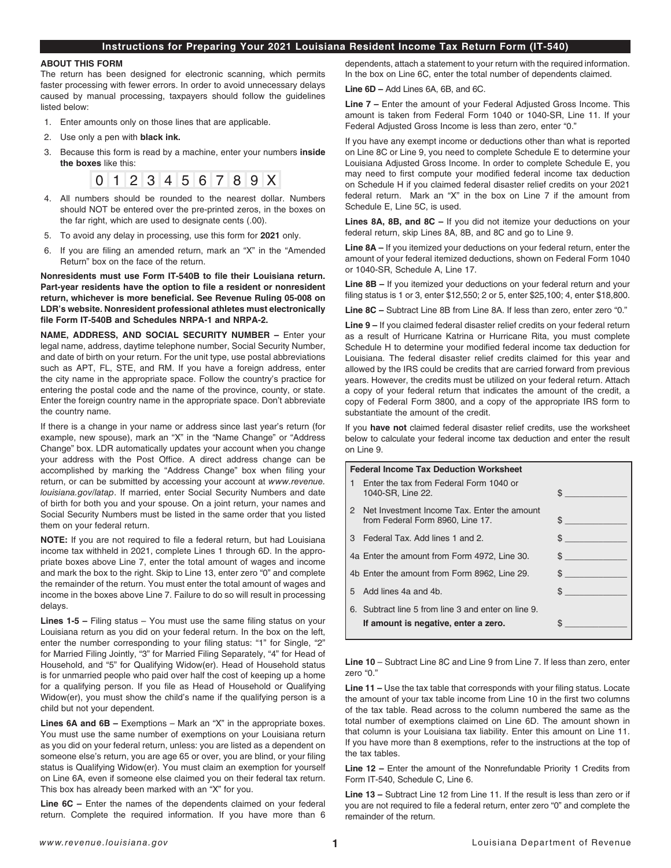## **Instructions for Preparing Your 2021 Louisiana Resident Income Tax Return Form (IT-540)**

### **ABOUT THIS FORM**

The return has been designed for electronic scanning, which permits faster processing with fewer errors. In order to avoid unnecessary delays caused by manual processing, taxpayers should follow the guidelines listed below:

- 1. Enter amounts only on those lines that are applicable.
- 2. Use only a pen with **black ink.**
- 3. Because this form is read by a machine, enter your numbers **inside the boxes** like this:



- 4. All numbers should be rounded to the nearest dollar. Numbers should NOT be entered over the pre-printed zeros, in the boxes on the far right, which are used to designate cents (.00).
- 5. To avoid any delay in processing, use this form for **2021** only.
- 6. If you are filing an amended return, mark an "X" in the "Amended Return" box on the face of the return.

**Nonresidents must use Form IT-540B to file their Louisiana return. Part-year residents have the option to file a resident or nonresident return, whichever is more beneficial. See Revenue Ruling 05-008 on LDR's website. Nonresident professional athletes must electronically file Form IT-540B and Schedules NRPA-1 and NRPA-2.** 

**NAME, ADDRESS, AND SOCIAL SECURITY NUMBER –** Enter your legal name, address, daytime telephone number, Social Security Number, and date of birth on your return. For the unit type, use postal abbreviations such as APT, FL, STE, and RM. If you have a foreign address, enter the city name in the appropriate space. Follow the country's practice for entering the postal code and the name of the province, county, or state. Enter the foreign country name in the appropriate space. Don't abbreviate the country name.

If there is a change in your name or address since last year's return (for example, new spouse), mark an "X" in the "Name Change" or "Address Change" box. LDR automatically updates your account when you change your address with the Post Office. A direct address change can be accomplished by marking the "Address Change" box when filing your return, or can be submitted by accessing your account at *www.revenue. louisiana.gov/latap*. If married, enter Social Security Numbers and date of birth for both you and your spouse. On a joint return, your names and Social Security Numbers must be listed in the same order that you listed them on your federal return.

**NOTE:** If you are not required to file a federal return, but had Louisiana income tax withheld in 2021, complete Lines 1 through 6D. In the appropriate boxes above Line 7, enter the total amount of wages and income and mark the box to the right. Skip to Line 13, enter zero "0" and complete the remainder of the return. You must enter the total amount of wages and income in the boxes above Line 7. Failure to do so will result in processing delays.

**Lines 1-5 –** Filing status – You must use the same filing status on your Louisiana return as you did on your federal return. In the box on the left, enter the number corresponding to your filing status: "1" for Single, "2" for Married Filing Jointly, "3" for Married Filing Separately, "4" for Head of Household, and "5" for Qualifying Widow(er). Head of Household status is for unmarried people who paid over half the cost of keeping up a home for a qualifying person. If you file as Head of Household or Qualifying Widow(er), you must show the child's name if the qualifying person is a child but not your dependent.

**Lines 6A and 6B – Exemptions – Mark an "X" in the appropriate boxes.** You must use the same number of exemptions on your Louisiana return as you did on your federal return, unless: you are listed as a dependent on someone else's return, you are age 65 or over, you are blind, or your filing status is Qualifying Widow(er). You must claim an exemption for yourself on Line 6A, even if someone else claimed you on their federal tax return. This box has already been marked with an "X" for you.

**Line 6C –** Enter the names of the dependents claimed on your federal return. Complete the required information. If you have more than 6 dependents, attach a statement to your return with the required information. In the box on Line 6C, enter the total number of dependents claimed.

**Line 6D –** Add Lines 6A, 6B, and 6C.

**Line 7 –** Enter the amount of your Federal Adjusted Gross Income. This amount is taken from Federal Form 1040 or 1040-SR, Line 11. If your Federal Adjusted Gross Income is less than zero, enter "0."

If you have any exempt income or deductions other than what is reported on Line 8C or Line 9, you need to complete Schedule E to determine your Louisiana Adjusted Gross Income. In order to complete Schedule E, you may need to first compute your modified federal income tax deduction on Schedule H if you claimed federal disaster relief credits on your 2021 federal return. Mark an "X" in the box on Line 7 if the amount from Schedule E, Line 5C, is used.

**Lines 8A, 8B, and 8C –** If you did not itemize your deductions on your federal return, skip Lines 8A, 8B, and 8C and go to Line 9.

**Line 8A –** If you itemized your deductions on your federal return, enter the amount of your federal itemized deductions, shown on Federal Form 1040 or 1040-SR, Schedule A, Line 17.

**Line 8B –** If you itemized your deductions on your federal return and your filing status is 1 or 3, enter \$12,550; 2 or 5, enter \$25,100; 4, enter \$18,800.

**Line 8C –** Subtract Line 8B from Line 8A. If less than zero, enter zero "0."

**Line 9 –** If you claimed federal disaster relief credits on your federal return as a result of Hurricane Katrina or Hurricane Rita, you must complete Schedule H to determine your modified federal income tax deduction for Louisiana. The federal disaster relief credits claimed for this year and allowed by the IRS could be credits that are carried forward from previous years. However, the credits must be utilized on your federal return. Attach a copy of your federal return that indicates the amount of the credit, a copy of Federal Form 3800, and a copy of the appropriate IRS form to substantiate the amount of the credit.

If you **have not** claimed federal disaster relief credits, use the worksheet below to calculate your federal income tax deduction and enter the result on Line 9.

# **Federal Income Tax Deduction Worksheet** 1 Enter the tax from Federal Form 1040 or 1040-SR, Line 22. \$ \_\_\_\_\_\_\_\_\_\_\_\_\_ 2 Net Investment Income Tax. Enter the amount from Federal Form 8960, Line 17. 3 Federal Tax. Add lines 1 and 2. 4a Enter the amount from Form 4972, Line 30. 4b Enter the amount from Form 8962, Line 29. \$  $5$  Add lines 4a and 4b.  $$$ 6. Subtract line 5 from line 3 and enter on line 9. **If amount is negative, enter a zero.** \$ \_\_\_\_\_\_\_\_\_\_\_\_\_

**Line 10** – Subtract Line 8C and Line 9 from Line 7. If less than zero, enter zero "0."

**Line 11 –** Use the tax table that corresponds with your filing status. Locate the amount of your tax table income from Line 10 in the first two columns of the tax table. Read across to the column numbered the same as the total number of exemptions claimed on Line 6D. The amount shown in that column is your Louisiana tax liability. Enter this amount on Line 11. If you have more than 8 exemptions, refer to the instructions at the top of the tax tables.

**Line 12 –** Enter the amount of the Nonrefundable Priority 1 Credits from Form IT-540, Schedule C, Line 6.

**Line 13 –** Subtract Line 12 from Line 11. If the result is less than zero or if you are not required to file a federal return, enter zero "0" and complete the remainder of the return.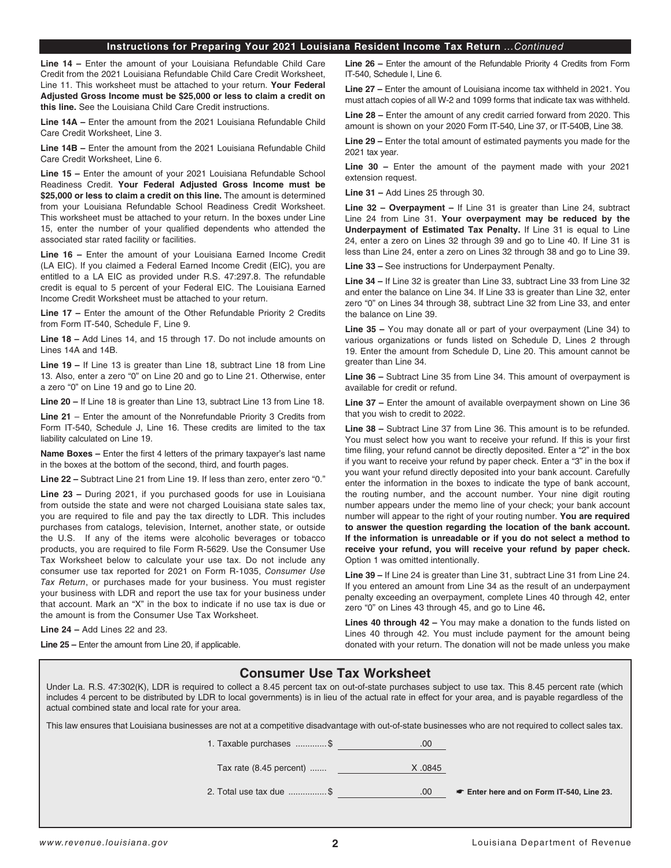## **Instructions for Preparing Your 2021 Louisiana Resident Income Tax Return** *...Continued*

**Line 14 –** Enter the amount of your Louisiana Refundable Child Care Credit from the 2021 Louisiana Refundable Child Care Credit Worksheet, Line 11. This worksheet must be attached to your return. **Your Federal Adjusted Gross Income must be \$25,000 or less to claim a credit on this line.** See the Louisiana Child Care Credit instructions.

**Line 14A –** Enter the amount from the 2021 Louisiana Refundable Child Care Credit Worksheet, Line 3.

**Line 14B –** Enter the amount from the 2021 Louisiana Refundable Child Care Credit Worksheet, Line 6.

**Line 15 –** Enter the amount of your 2021 Louisiana Refundable School Readiness Credit. **Your Federal Adjusted Gross Income must be \$25,000 or less to claim a credit on this line.** The amount is determined from your Louisiana Refundable School Readiness Credit Worksheet. This worksheet must be attached to your return. In the boxes under Line 15, enter the number of your qualified dependents who attended the associated star rated facility or facilities.

**Line 16 –** Enter the amount of your Louisiana Earned Income Credit (LA EIC). If you claimed a Federal Earned Income Credit (EIC), you are entitled to a LA EIC as provided under R.S. 47:297.8. The refundable credit is equal to 5 percent of your Federal EIC. The Louisiana Earned Income Credit Worksheet must be attached to your return.

**Line 17 –** Enter the amount of the Other Refundable Priority 2 Credits from Form IT-540, Schedule F, Line 9.

**Line 18 –** Add Lines 14, and 15 through 17. Do not include amounts on Lines 14A and 14B.

**Line 19 –** If Line 13 is greater than Line 18, subtract Line 18 from Line 13. Also, enter a zero "0" on Line 20 and go to Line 21. Otherwise, enter a zero "0" on Line 19 and go to Line 20.

**Line 20 –** If Line 18 is greater than Line 13, subtract Line 13 from Line 18.

**Line 21** – Enter the amount of the Nonrefundable Priority 3 Credits from Form IT-540, Schedule J, Line 16. These credits are limited to the tax liability calculated on Line 19.

**Name Boxes –** Enter the first 4 letters of the primary taxpayer's last name in the boxes at the bottom of the second, third, and fourth pages.

**Line 22 –** Subtract Line 21 from Line 19. If less than zero, enter zero "0."

**Line 23 –** During 2021, if you purchased goods for use in Louisiana from outside the state and were not charged Louisiana state sales tax, you are required to file and pay the tax directly to LDR. This includes purchases from catalogs, television, Internet, another state, or outside the U.S. If any of the items were alcoholic beverages or tobacco products, you are required to file Form R-5629. Use the Consumer Use Tax Worksheet below to calculate your use tax. Do not include any consumer use tax reported for 2021 on Form R-1035, *Consumer Use Tax Return*, or purchases made for your business. You must register your business with LDR and report the use tax for your business under that account. Mark an "X" in the box to indicate if no use tax is due or the amount is from the Consumer Use Tax Worksheet.

**Line 24 –** Add Lines 22 and 23.

**Line 25 –** Enter the amount from Line 20, if applicable.

**Line 26 –** Enter the amount of the Refundable Priority 4 Credits from Form IT-540, Schedule I, Line 6.

**Line 27 –** Enter the amount of Louisiana income tax withheld in 2021. You must attach copies of all W-2 and 1099 forms that indicate tax was withheld.

**Line 28 –** Enter the amount of any credit carried forward from 2020. This amount is shown on your 2020 Form IT-540, Line 37, or IT-540B, Line 38.

**Line 29 –** Enter the total amount of estimated payments you made for the 2021 tax year.

**Line 30 –** Enter the amount of the payment made with your 2021 extension request.

**Line 31 –** Add Lines 25 through 30.

**Line 32 – Overpayment –** If Line 31 is greater than Line 24, subtract Line 24 from Line 31. **Your overpayment may be reduced by the Underpayment of Estimated Tax Penalty.** If Line 31 is equal to Line 24, enter a zero on Lines 32 through 39 and go to Line 40. If Line 31 is less than Line 24, enter a zero on Lines 32 through 38 and go to Line 39.

**Line 33 –** See instructions for Underpayment Penalty.

**Line 34 –** If Line 32 is greater than Line 33, subtract Line 33 from Line 32 and enter the balance on Line 34. If Line 33 is greater than Line 32, enter zero "0" on Lines 34 through 38, subtract Line 32 from Line 33, and enter the balance on Line 39.

**Line 35 –** You may donate all or part of your overpayment (Line 34) to various organizations or funds listed on Schedule D, Lines 2 through 19. Enter the amount from Schedule D, Line 20. This amount cannot be greater than Line 34.

**Line 36 –** Subtract Line 35 from Line 34. This amount of overpayment is available for credit or refund.

**Line 37 –** Enter the amount of available overpayment shown on Line 36 that you wish to credit to 2022.

**Line 38 –** Subtract Line 37 from Line 36. This amount is to be refunded. You must select how you want to receive your refund. If this is your first time filing, your refund cannot be directly deposited. Enter a "2" in the box if you want to receive your refund by paper check. Enter a "3" in the box if you want your refund directly deposited into your bank account. Carefully enter the information in the boxes to indicate the type of bank account, the routing number, and the account number. Your nine digit routing number appears under the memo line of your check; your bank account number will appear to the right of your routing number. **You are required to answer the question regarding the location of the bank account. If the information is unreadable or if you do not select a method to receive your refund, you will receive your refund by paper check.** Option 1 was omitted intentionally.

**Line 39 –** If Line 24 is greater than Line 31, subtract Line 31 from Line 24. If you entered an amount from Line 34 as the result of an underpayment penalty exceeding an overpayment, complete Lines 40 through 42, enter zero "0" on Lines 43 through 45, and go to Line 46**.**

**Lines 40 through 42 –** You may make a donation to the funds listed on Lines 40 through 42. You must include payment for the amount being donated with your return. The donation will not be made unless you make

# **Consumer Use Tax Worksheet**

Under La. R.S. 47:302(K), LDR is required to collect a 8.45 percent tax on out-of-state purchases subject to use tax. This 8.45 percent rate (which includes 4 percent to be distributed by LDR to local governments) is in lieu of the actual rate in effect for your area, and is payable regardless of the actual combined state and local rate for your area.

This law ensures that Louisiana businesses are not at a competitive disadvantage with out-of-state businesses who are not required to collect sales tax.

| 1. Taxable purchases \$      | .00     |                                         |
|------------------------------|---------|-----------------------------------------|
| Tax rate $(8.45$ percent $)$ | X .0845 |                                         |
| 2. Total use tax due \$      | .00     | Enter here and on Form IT-540, Line 23. |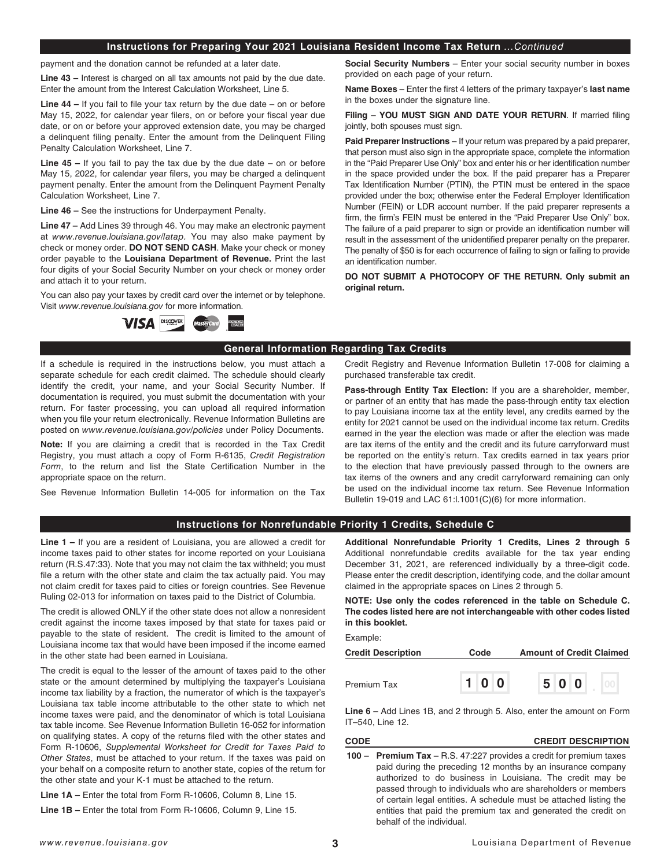## **Instructions for Preparing Your 2021 Louisiana Resident Income Tax Return** *...Continued*

payment and the donation cannot be refunded at a later date.

**Line 43 –** Interest is charged on all tax amounts not paid by the due date. Enter the amount from the Interest Calculation Worksheet, Line 5.

**Line 44 –** If you fail to file your tax return by the due date – on or before May 15, 2022, for calendar year filers, on or before your fiscal year due date, or on or before your approved extension date, you may be charged a delinquent filing penalty. Enter the amount from the Delinquent Filing Penalty Calculation Worksheet, Line 7.

**Line 45 –** If you fail to pay the tax due by the due date – on or before May 15, 2022, for calendar year filers, you may be charged a delinquent payment penalty. Enter the amount from the Delinquent Payment Penalty Calculation Worksheet, Line 7.

**Line 46 –** See the instructions for Underpayment Penalty.

**Line 47 –** Add Lines 39 through 46. You may make an electronic payment at *www.revenue.louisiana.gov/latap.* You may also make payment by check or money order. **DO NOT SEND CASH**. Make your check or money order payable to the **Louisiana Department of Revenue.** Print the last four digits of your Social Security Number on your check or money order and attach it to your return.

You can also pay your taxes by credit card over the internet or by telephone. Visit *www.revenue.louisiana.gov* for more information.



**Social Security Numbers** – Enter your social security number in boxes provided on each page of your return.

**Name Boxes** – Enter the first 4 letters of the primary taxpayer's **last name** in the boxes under the signature line.

**Filing** – **YOU MUST SIGN AND DATE YOUR RETURN**. If married filing jointly, both spouses must sign.

**Paid Preparer Instructions** – If your return was prepared by a paid preparer, that person must also sign in the appropriate space, complete the information in the "Paid Preparer Use Only" box and enter his or her identification number in the space provided under the box. If the paid preparer has a Preparer Tax Identification Number (PTIN), the PTIN must be entered in the space provided under the box; otherwise enter the Federal Employer Identification Number (FEIN) or LDR account number. If the paid preparer represents a firm, the firm's FEIN must be entered in the "Paid Preparer Use Only" box. The failure of a paid preparer to sign or provide an identification number will result in the assessment of the unidentified preparer penalty on the preparer. The penalty of \$50 is for each occurrence of failing to sign or failing to provide an identification number.

**DO NOT SUBMIT A PHOTOCOPY OF THE RETURN. Only submit an original return.**

Credit Registry and Revenue Information Bulletin 17-008 for claiming a

## **General Information Regarding Tax Credits**

If a schedule is required in the instructions below, you must attach a separate schedule for each credit claimed. The schedule should clearly identify the credit, your name, and your Social Security Number. If documentation is required, you must submit the documentation with your return. For faster processing, you can upload all required information when you file your return electronically. Revenue Information Bulletins are posted on *[www.revenue.louisiana.gov/policies](http://www.revenue.louisiana.gov/policies)* under Policy Documents.

**Note:** If you are claiming a credit that is recorded in the Tax Credit Registry, you must attach a copy of Form R-6135, *Credit Registration Form*, to the return and list the State Certification Number in the appropriate space on the return.

See Revenue Information Bulletin 14-005 for information on the Tax

**Pass-through Entity Tax Election:** If you are a shareholder, member, or partner of an entity that has made the pass-through entity tax election

purchased transferable tax credit.

to pay Louisiana income tax at the entity level, any credits earned by the entity for 2021 cannot be used on the individual income tax return. Credits earned in the year the election was made or after the election was made are tax items of the entity and the credit and its future carryforward must be reported on the entity's return. Tax credits earned in tax years prior to the election that have previously passed through to the owners are tax items of the owners and any credit carryforward remaining can only be used on the individual income tax return. See Revenue Information Bulletin 19-019 and LAC 61:l.1001(C)(6) for more information.

## **Instructions for Nonrefundable Priority 1 Credits, Schedule C**

**Line 1 –** If you are a resident of Louisiana, you are allowed a credit for income taxes paid to other states for income reported on your Louisiana return (R.S.47:33). Note that you may not claim the tax withheld; you must file a return with the other state and claim the tax actually paid. You may not claim credit for taxes paid to cities or foreign countries. See Revenue Ruling 02-013 for information on taxes paid to the District of Columbia.

The credit is allowed ONLY if the other state does not allow a nonresident credit against the income taxes imposed by that state for taxes paid or payable to the state of resident. The credit is limited to the amount of Louisiana income tax that would have been imposed if the income earned in the other state had been earned in Louisiana.

The credit is equal to the lesser of the amount of taxes paid to the other state or the amount determined by multiplying the taxpayer's Louisiana income tax liability by a fraction, the numerator of which is the taxpayer's Louisiana tax table income attributable to the other state to which net income taxes were paid, and the denominator of which is total Louisiana tax table income. See Revenue Information Bulletin 16-052 for information on qualifying states. A copy of the returns filed with the other states and Form R-10606, *Supplemental Worksheet for Credit for Taxes Paid to Other States*, must be attached to your return. If the taxes was paid on your behalf on a composite return to another state, copies of the return for the other state and your K-1 must be attached to the return.

**Line 1A –** Enter the total from Form R-10606, Column 8, Line 15.

**Line 1B –** Enter the total from Form R-10606, Column 9, Line 15.

**Additional Nonrefundable Priority 1 Credits, Lines 2 through 5**  Additional nonrefundable credits available for the tax year ending December 31, 2021, are referenced individually by a three-digit code. Please enter the credit description, identifying code, and the dollar amount claimed in the appropriate spaces on Lines 2 through 5.

**NOTE: Use only the codes referenced in the table on Schedule C. The codes listed here are not interchangeable with other codes listed in this booklet.** 

Example:

| <b>Credit Description</b> | Code | <b>Amount of Credit Claimed</b> |
|---------------------------|------|---------------------------------|
| Premium Tax               | 100  | 500                             |

**Line 6** – Add Lines 1B, and 2 through 5. Also, enter the amount on Form IT–540, Line 12.

**CODE CREDIT DESCRIPTION**

**100 – Premium Tax –** R.S. 47:227 provides a credit for premium taxes paid during the preceding 12 months by an insurance company authorized to do business in Louisiana. The credit may be passed through to individuals who are shareholders or members of certain legal entities. A schedule must be attached listing the entities that paid the premium tax and generated the credit on behalf of the individual.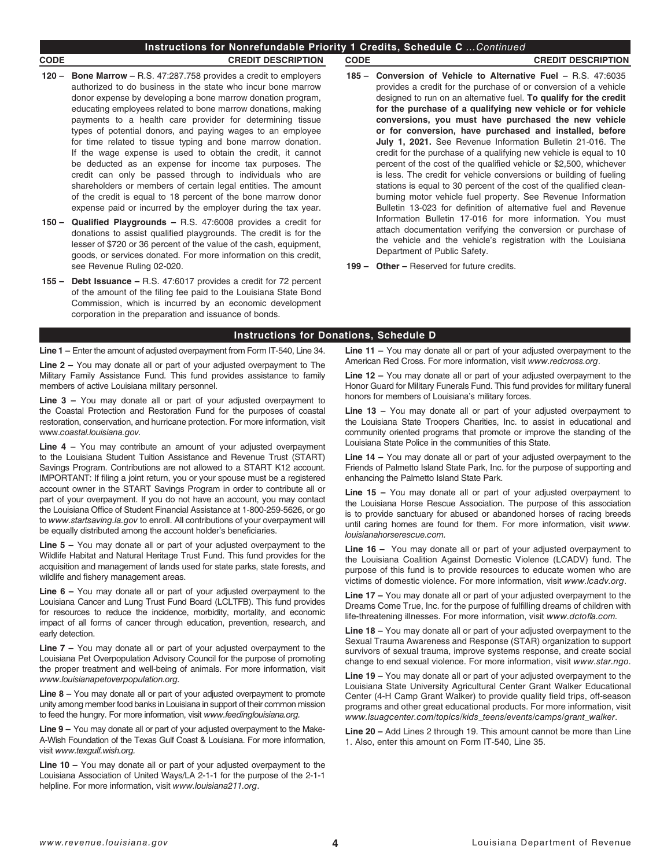# **Instructions for Nonrefundable Priority 1 Credits, Schedule C** *...Continued*

### **CODE CREDIT DESCRIPTION CODE CREDIT DESCRIPTION**

- **120 Bone Marrow** R.S. 47:287.758 provides a credit to employers authorized to do business in the state who incur bone marrow donor expense by developing a bone marrow donation program, educating employees related to bone marrow donations, making payments to a health care provider for determining tissue types of potential donors, and paying wages to an employee for time related to tissue typing and bone marrow donation. If the wage expense is used to obtain the credit, it cannot be deducted as an expense for income tax purposes. The credit can only be passed through to individuals who are shareholders or members of certain legal entities. The amount of the credit is equal to 18 percent of the bone marrow donor expense paid or incurred by the employer during the tax year.
- **150 – Qualified Playgrounds** R.S. 47:6008 provides a credit for donations to assist qualified playgrounds. The credit is for the lesser of \$720 or 36 percent of the value of the cash, equipment, goods, or services donated. For more information on this credit, see Revenue Ruling 02-020.
- **155 Debt Issuance** R.S. 47:6017 provides a credit for 72 percent of the amount of the filing fee paid to the Louisiana State Bond Commission, which is incurred by an economic development corporation in the preparation and issuance of bonds.

- **185 Conversion of Vehicle to Alternative Fuel** R.S. 47:6035 provides a credit for the purchase of or conversion of a vehicle designed to run on an alternative fuel. **To qualify for the credit for the purchase of a qualifying new vehicle or for vehicle conversions, you must have purchased the new vehicle or for conversion, have purchased and installed, before July 1, 2021.** See Revenue Information Bulletin 21-016. The credit for the purchase of a qualifying new vehicle is equal to 10 percent of the cost of the qualified vehicle or \$2,500, whichever is less. The credit for vehicle conversions or building of fueling stations is equal to 30 percent of the cost of the qualified cleanburning motor vehicle fuel property. See Revenue Information Bulletin 13-023 for definition of alternative fuel and Revenue Information Bulletin 17-016 for more information. You must attach documentation verifying the conversion or purchase of the vehicle and the vehicle's registration with the Louisiana Department of Public Safety.
- **199 Other –** Reserved for future credits.

## **Instructions for Donations, Schedule D**

**Line 1 –** Enter the amount of adjusted overpayment from Form IT-540, Line 34.

**Line 2 –** You may donate all or part of your adjusted overpayment to The Military Family Assistance Fund. This fund provides assistance to family members of active Louisiana military personnel.

**Line 3 –** You may donate all or part of your adjusted overpayment to the Coastal Protection and Restoration Fund for the purposes of coastal restoration, conservation, and hurricane protection. For more information, visit www.*coastal.louisiana.gov.*

**Line 4 –** You may contribute an amount of your adjusted overpayment to the Louisiana Student Tuition Assistance and Revenue Trust (START) Savings Program. Contributions are not allowed to a START K12 account. IMPORTANT: If filing a joint return, you or your spouse must be a registered account owner in the START Savings Program in order to contribute all or part of your overpayment. If you do not have an account, you may contact the Louisiana Office of Student Financial Assistance at 1-800-259-5626, or go to *www.startsaving.la.gov* to enroll. All contributions of your overpayment will be equally distributed among the account holder's beneficiaries.

**Line 5 –** You may donate all or part of your adjusted overpayment to the Wildlife Habitat and Natural Heritage Trust Fund. This fund provides for the acquisition and management of lands used for state parks, state forests, and wildlife and fishery management areas.

**Line 6 –** You may donate all or part of your adjusted overpayment to the Louisiana Cancer and Lung Trust Fund Board (LCLTFB). This fund provides for resources to reduce the incidence, morbidity, mortality, and economic impact of all forms of cancer through education, prevention, research, and early detection.

**Line 7 –** You may donate all or part of your adjusted overpayment to the Louisiana Pet Overpopulation Advisory Council for the purpose of promoting the proper treatment and well-being of animals. For more information, visit *www.louisianapetoverpopulation.org.*

**Line 8 –** You may donate all or part of your adjusted overpayment to promote unity among member food banks in Louisiana in support of their common mission to feed the hungry. For more information, visit *www.feedinglouisiana.org.*

**Line 9 –** You may donate all or part of your adjusted overpayment to the Make-A-Wish Foundation of the Texas Gulf Coast & Louisiana. For more information, visit *www.texgulf.wish.org.*

**Line 10 –** You may donate all or part of your adjusted overpayment to the Louisiana Association of United Ways/LA 2-1-1 for the purpose of the 2-1-1 helpline. For more information, visit *www.louisiana211.org*.

**Line 11 –** You may donate all or part of your adjusted overpayment to the American Red Cross. For more information, visit *www.redcross.org*.

**Line 12 –** You may donate all or part of your adjusted overpayment to the Honor Guard for Military Funerals Fund. This fund provides for military funeral honors for members of Louisiana's military forces.

**Line 13 –** You may donate all or part of your adjusted overpayment to the Louisiana State Troopers Charities, Inc. to assist in educational and community oriented programs that promote or improve the standing of the Louisiana State Police in the communities of this State.

**Line 14 –** You may donate all or part of your adjusted overpayment to the Friends of Palmetto Island State Park, Inc. for the purpose of supporting and enhancing the Palmetto Island State Park.

**Line 15 –** You may donate all or part of your adjusted overpayment to the Louisiana Horse Rescue Association. The purpose of this association is to provide sanctuary for abused or abandoned horses of racing breeds until caring homes are found for them. For more information, visit *www. louisianahorserescue.com.*

**Line 16 –** You may donate all or part of your adjusted overpayment to the Louisiana Coalition Against Domestic Violence (LCADV) fund. The purpose of this fund is to provide resources to educate women who are victims of domestic violence. For more information, visit *www.lcadv.org*.

**Line 17 –** You may donate all or part of your adjusted overpayment to the Dreams Come True, Inc. for the purpose of fulfilling dreams of children with life-threatening illnesses. For more information, visit *www.dctofla.com.*

**Line 18 –** You may donate all or part of your adjusted overpayment to the Sexual Trauma Awareness and Response (STAR) organization to support survivors of sexual trauma, improve systems response, and create social change to end sexual violence. For more information, visit *www.star.ngo*.

**Line 19 –** You may donate all or part of your adjusted overpayment to the Louisiana State University Agricultural Center Grant Walker Educational Center (4-H Camp Grant Walker) to provide quality field trips, off-season programs and other great educational products. For more information, visit *www.lsuagcenter.com/topics/kids\_teens/events/camps/grant\_walker*.

**Line 20 –** Add Lines 2 through 19. This amount cannot be more than Line 1. Also, enter this amount on Form IT-540, Line 35.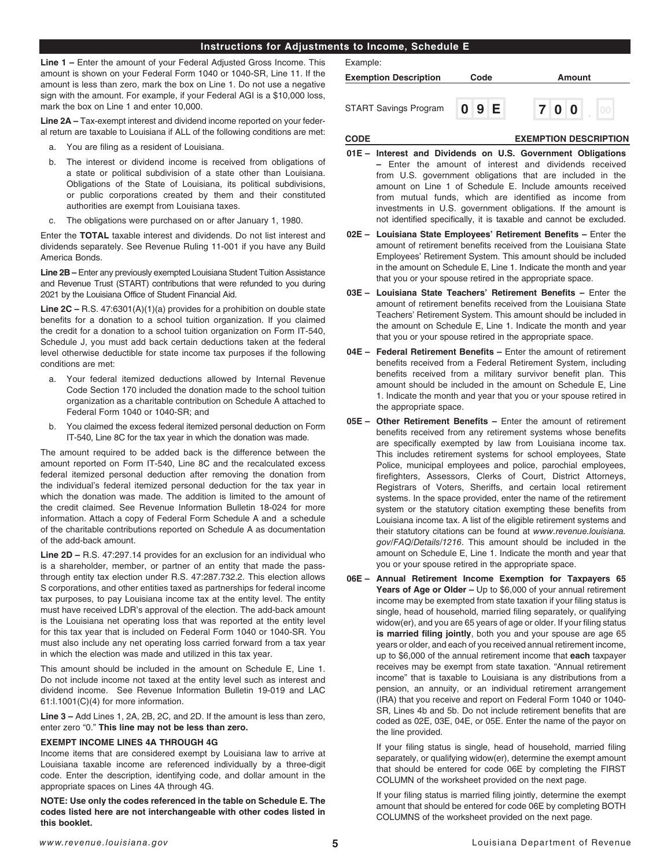# **Instructions for Adjustments to Income, Schedule E**

**Line 1 –** Enter the amount of your Federal Adjusted Gross Income. This amount is shown on your Federal Form 1040 or 1040-SR, Line 11. If the amount is less than zero, mark the box on Line 1. Do not use a negative sign with the amount. For example, if your Federal AGI is a \$10,000 loss, mark the box on Line 1 and enter 10,000.

**Line 2A –** Tax-exempt interest and dividend income reported on your federal return are taxable to Louisiana if ALL of the following conditions are met:

- a. You are filing as a resident of Louisiana.
- b. The interest or dividend income is received from obligations of a state or political subdivision of a state other than Louisiana. Obligations of the State of Louisiana, its political subdivisions, or public corporations created by them and their constituted authorities are exempt from Louisiana taxes.
- c. The obligations were purchased on or after January 1, 1980.

Enter the **TOTAL** taxable interest and dividends. Do not list interest and dividends separately. See Revenue Ruling 11-001 if you have any Build America Bonds.

**Line 2B –** Enter any previously exempted Louisiana Student Tuition Assistance and Revenue Trust (START) contributions that were refunded to you during 2021 by the Louisiana Office of Student Financial Aid.

**Line 2C –** R.S. 47:6301(A)(1)(a) provides for a prohibition on double state benefits for a donation to a school tuition organization. If you claimed the credit for a donation to a school tuition organization on Form IT-540, Schedule J, you must add back certain deductions taken at the federal level otherwise deductible for state income tax purposes if the following conditions are met:

- a. Your federal itemized deductions allowed by Internal Revenue Code Section 170 included the donation made to the school tuition organization as a charitable contribution on Schedule A attached to Federal Form 1040 or 1040-SR; and
- b. You claimed the excess federal itemized personal deduction on Form IT-540, Line 8C for the tax year in which the donation was made.

The amount required to be added back is the difference between the amount reported on Form IT-540, Line 8C and the recalculated excess federal itemized personal deduction after removing the donation from the individual's federal itemized personal deduction for the tax year in which the donation was made. The addition is limited to the amount of the credit claimed. See Revenue Information Bulletin 18-024 for more information. Attach a copy of Federal Form Schedule A and a schedule of the charitable contributions reported on Schedule A as documentation of the add-back amount.

**Line 2D –** R.S. 47:297.14 provides for an exclusion for an individual who is a shareholder, member, or partner of an entity that made the passthrough entity tax election under R.S. 47:287.732.2. This election allows S corporations, and other entities taxed as partnerships for federal income tax purposes, to pay Louisiana income tax at the entity level. The entity must have received LDR's approval of the election. The add-back amount is the Louisiana net operating loss that was reported at the entity level for this tax year that is included on Federal Form 1040 or 1040-SR. You must also include any net operating loss carried forward from a tax year in which the election was made and utilized in this tax year.

This amount should be included in the amount on Schedule E, Line 1. Do not include income not taxed at the entity level such as interest and dividend income. See Revenue Information Bulletin 19-019 and LAC 61:I.1001(C)(4) for more information.

**Line 3 –** Add Lines 1, 2A, 2B, 2C, and 2D. If the amount is less than zero, enter zero "0." **This line may not be less than zero.** 

## **EXEMPT INCOME LINES 4A THROUGH 4G**

Income items that are considered exempt by Louisiana law to arrive at Louisiana taxable income are referenced individually by a three-digit code. Enter the description, identifying code, and dollar amount in the appropriate spaces on Lines 4A through 4G.

**NOTE: Use only the codes referenced in the table on Schedule E. The codes listed here are not interchangeable with other codes listed in this booklet.** 

| Example:                     |      |        |
|------------------------------|------|--------|
| <b>Exemption Description</b> | Code | Amount |
| <b>START Savings Program</b> | 09E  | 700    |

## **CODE EXEMPTION DESCRIPTION**

- **01E – Interest and Dividends on U.S. Government Obligations –** Enter the amount of interest and dividends received from U.S. government obligations that are included in the amount on Line 1 of Schedule E. Include amounts received from mutual funds, which are identified as income from investments in U.S. government obligations. If the amount is not identified specifically, it is taxable and cannot be excluded.
- **02E – Louisiana State Employees' Retirement Benefits –** Enter the amount of retirement benefits received from the Louisiana State Employees' Retirement System. This amount should be included in the amount on Schedule E, Line 1. Indicate the month and year that you or your spouse retired in the appropriate space.
- **03E – Louisiana State Teachers' Retirement Benefits** Enter the amount of retirement benefits received from the Louisiana State Teachers' Retirement System. This amount should be included in the amount on Schedule E, Line 1. Indicate the month and year that you or your spouse retired in the appropriate space.
- **04E – Federal Retirement Benefits** Enter the amount of retirement benefits received from a Federal Retirement System, including benefits received from a military survivor benefit plan. This amount should be included in the amount on Schedule E, Line 1. Indicate the month and year that you or your spouse retired in the appropriate space.
- **05E – Other Retirement Benefits** Enter the amount of retirement benefits received from any retirement systems whose benefits are specifically exempted by law from Louisiana income tax. This includes retirement systems for school employees, State Police, municipal employees and police, parochial employees, firefighters, Assessors, Clerks of Court, District Attorneys, Registrars of Voters, Sheriffs, and certain local retirement systems. In the space provided, enter the name of the retirement system or the statutory citation exempting these benefits from Louisiana income tax. A list of the eligible retirement systems and their statutory citations can be found at *[www.revenue.louisiana.](http://www.revenue.louisiana.gov/FAQ/Details/1216) [gov/FAQ/Details/1216](http://www.revenue.louisiana.gov/FAQ/Details/1216)*. This amount should be included in the amount on Schedule E, Line 1. Indicate the month and year that you or your spouse retired in the appropriate space.
- **06E – Annual Retirement Income Exemption for Taxpayers 65 Years of Age or Older –** Up to \$6,000 of your annual retirement income may be exempted from state taxation if your filing status is single, head of household, married filing separately, or qualifying widow(er), and you are 65 years of age or older. If your filing status **is married filing jointly**, both you and your spouse are age 65 years or older, and each of you received annual retirement income, up to \$6,000 of the annual retirement income that **each** taxpayer receives may be exempt from state taxation. "Annual retirement income" that is taxable to Louisiana is any distributions from a pension, an annuity, or an individual retirement arrangement (IRA) that you receive and report on Federal Form 1040 or 1040- SR, Lines 4b and 5b. Do not include retirement benefits that are coded as 02E, 03E, 04E, or 05E. Enter the name of the payor on the line provided.

If your filing status is single, head of household, married filing separately, or qualifying widow(er), determine the exempt amount that should be entered for code 06E by completing the FIRST COLUMN of the worksheet provided on the next page.

If your filing status is married filing jointly, determine the exempt amount that should be entered for code 06E by completing BOTH COLUMNS of the worksheet provided on the next page.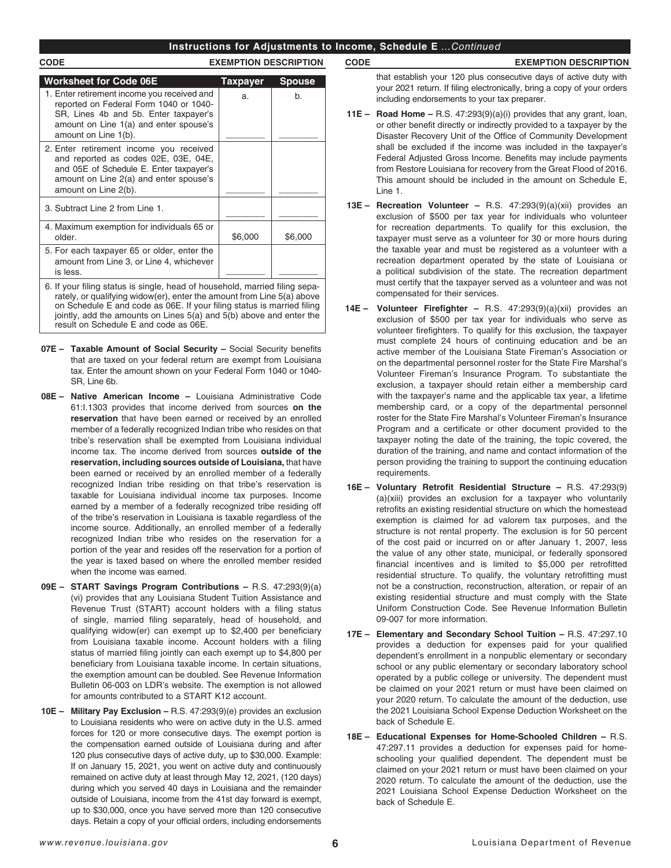# **Instructions for Adjustments to Income, Schedule E** *...Continued*

# **CODE EXEMPTION DESCRIPTION**

| <b>Worksheet for Code 06E</b>                                                                                                                                                                    | <b>Taxpayer</b> | <b>Spouse</b> |
|--------------------------------------------------------------------------------------------------------------------------------------------------------------------------------------------------|-----------------|---------------|
| 1. Enter retirement income you received and<br>reported on Federal Form 1040 or 1040-<br>SR, Lines 4b and 5b. Enter taxpayer's<br>amount on Line 1(a) and enter spouse's<br>amount on Line 1(b). | a.              | b.            |
| 2. Enter retirement income you received<br>and reported as codes 02E, 03E, 04E,<br>and 05E of Schedule E. Enter taxpayer's<br>amount on Line 2(a) and enter spouse's<br>amount on Line 2(b).     |                 |               |
| 3. Subtract Line 2 from Line 1.                                                                                                                                                                  |                 |               |
| 4. Maximum exemption for individuals 65 or<br>older.                                                                                                                                             | \$6,000         | \$6,000       |
| 5. For each taxpayer 65 or older, enter the<br>amount from Line 3, or Line 4, whichever<br>is less.                                                                                              |                 |               |
| 6. If your filing status is single, head of household, married filing sepa-<br>rately, or qualifying widow(er), enter the amount from Line 5(a) above                                            |                 |               |

- rately, or qualifying widow(er), enter the amount from Line 5(a) above on Schedule E and code as 06E. If your filing status is married filing jointly, add the amounts on Lines  $5(a)$  and  $5(b)$  above and enter the result on Schedule E and code as 06E.
- **07E – Taxable Amount of Social Security –** Social Security benefits that are taxed on your federal return are exempt from Louisiana tax. Enter the amount shown on your Federal Form 1040 or 1040- SR, Line 6b.
- **08E – Native American Income –** Louisiana Administrative Code 61:I.1303 provides that income derived from sources **on the reservation** that have been earned or received by an enrolled member of a federally recognized Indian tribe who resides on that tribe's reservation shall be exempted from Louisiana individual income tax. The income derived from sources **outside of the reservation, including sources outside of Louisiana,** that have been earned or received by an enrolled member of a federally recognized Indian tribe residing on that tribe's reservation is taxable for Louisiana individual income tax purposes. Income earned by a member of a federally recognized tribe residing off of the tribe's reservation in Louisiana is taxable regardless of the income source. Additionally, an enrolled member of a federally recognized Indian tribe who resides on the reservation for a portion of the year and resides off the reservation for a portion of the year is taxed based on where the enrolled member resided when the income was earned.
- **09E – START Savings Program Contributions –** R.S. 47:293(9)(a) (vi) provides that any Louisiana Student Tuition Assistance and Revenue Trust (START) account holders with a filing status of single, married filing separately, head of household, and qualifying widow(er) can exempt up to \$2,400 per beneficiary from Louisiana taxable income. Account holders with a filing status of married filing jointly can each exempt up to \$4,800 per beneficiary from Louisiana taxable income. In certain situations, the exemption amount can be doubled. See Revenue Information Bulletin 06-003 on LDR's website. The exemption is not allowed for amounts contributed to a START K12 account.
- **10E – Military Pay Exclusion –** R.S. 47:293(9)(e) provides an exclusion to Louisiana residents who were on active duty in the U.S. armed forces for 120 or more consecutive days. The exempt portion is the compensation earned outside of Louisiana during and after 120 plus consecutive days of active duty, up to \$30,000. Example: If on January 15, 2021, you went on active duty and continuously remained on active duty at least through May 12, 2021, (120 days) during which you served 40 days in Louisiana and the remainder outside of Louisiana, income from the 41st day forward is exempt, up to \$30,000, once you have served more than 120 consecutive days. Retain a copy of your official orders, including endorsements

**CODE EXEMPTION DESCRIPTION**

that establish your 120 plus consecutive days of active duty with your 2021 return. If filing electronically, bring a copy of your orders including endorsements to your tax preparer.

- **11E – Road Home –** R.S. 47:293(9)(a)(i) provides that any grant, loan, or other benefit directly or indirectly provided to a taxpayer by the Disaster Recovery Unit of the Office of Community Development shall be excluded if the income was included in the taxpayer's Federal Adjusted Gross Income. Benefits may include payments from Restore Louisiana for recovery from the Great Flood of 2016. This amount should be included in the amount on Schedule E, Line 1.
- **13E – Recreation Volunteer** R.S. 47:293(9)(a)(xii) provides an exclusion of \$500 per tax year for individuals who volunteer for recreation departments. To qualify for this exclusion, the taxpayer must serve as a volunteer for 30 or more hours during the taxable year and must be registered as a volunteer with a recreation department operated by the state of Louisiana or a political subdivision of the state. The recreation department must certify that the taxpayer served as a volunteer and was not compensated for their services.
- **14E – Volunteer Firefighter** R.S. 47:293(9)(a)(xii) provides an exclusion of \$500 per tax year for individuals who serve as volunteer firefighters. To qualify for this exclusion, the taxpayer must complete 24 hours of continuing education and be an active member of the Louisiana State Fireman's Association or on the departmental personnel roster for the State Fire Marshal's Volunteer Fireman's Insurance Program. To substantiate the exclusion, a taxpayer should retain either a membership card with the taxpayer's name and the applicable tax year, a lifetime membership card, or a copy of the departmental personnel roster for the State Fire Marshal's Volunteer Fireman's Insurance Program and a certificate or other document provided to the taxpayer noting the date of the training, the topic covered, the duration of the training, and name and contact information of the person providing the training to support the continuing education requirements.
- **16E Voluntary Retrofit Residential Structure –** R.S. 47:293(9) (a)(xiii) provides an exclusion for a taxpayer who voluntarily retrofits an existing residential structure on which the homestead exemption is claimed for ad valorem tax purposes, and the structure is not rental property. The exclusion is for 50 percent of the cost paid or incurred on or after January 1, 2007, less the value of any other state, municipal, or federally sponsored financial incentives and is limited to \$5,000 per retrofitted residential structure. To qualify, the voluntary retrofitting must not be a construction, reconstruction, alteration, or repair of an existing residential structure and must comply with the State Uniform Construction Code. See Revenue Information Bulletin 09-007 for more information.
- **17E Elementary and Secondary School Tuition** R.S. 47:297.10 provides a deduction for expenses paid for your qualified dependent's enrollment in a nonpublic elementary or secondary school or any public elementary or secondary laboratory school operated by a public college or university. The dependent must be claimed on your 2021 return or must have been claimed on your 2020 return. To calculate the amount of the deduction, use the 2021 Louisiana School Expense Deduction Worksheet on the back of Schedule E.
- **18E – Educational Expenses for Home-Schooled Children –** R.S. 47:297.11 provides a deduction for expenses paid for homeschooling your qualified dependent. The dependent must be claimed on your 2021 return or must have been claimed on your 2020 return. To calculate the amount of the deduction, use the 2021 Louisiana School Expense Deduction Worksheet on the back of Schedule E.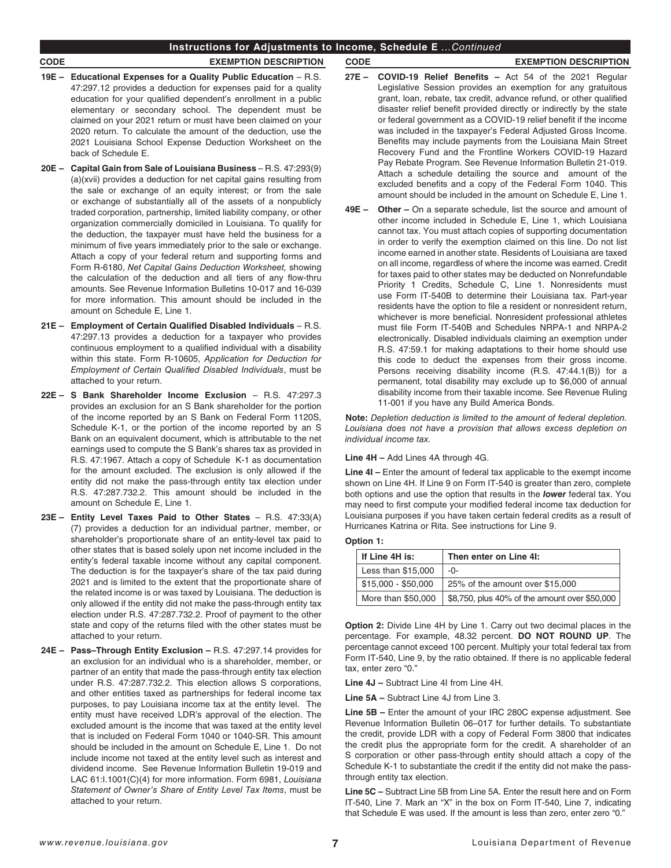- **19E Educational Expenses for a Quality Public Education** R.S. 47:297.12 provides a deduction for expenses paid for a quality education for your qualified dependent's enrollment in a public elementary or secondary school. The dependent must be claimed on your 2021 return or must have been claimed on your 2020 return. To calculate the amount of the deduction, use the 2021 Louisiana School Expense Deduction Worksheet on the back of Schedule E.
- **20E Capital Gain from Sale of Louisiana Business** R.S. 47:293(9) (a)(xvii) provides a deduction for net capital gains resulting from the sale or exchange of an equity interest; or from the sale or exchange of substantially all of the assets of a nonpublicly traded corporation, partnership, limited liability company, or other organization commercially domiciled in Louisiana. To qualify for the deduction, the taxpayer must have held the business for a minimum of five years immediately prior to the sale or exchange. Attach a copy of your federal return and supporting forms and Form R-6180, *Net Capital Gains Deduction Worksheet,* showing the calculation of the deduction and all tiers of any flow-thru amounts. See Revenue Information Bulletins 10-017 and 16-039 for more information. This amount should be included in the amount on Schedule E, Line 1.
- **21E Employment of Certain Qualified Disabled Individuals** R.S. 47:297.13 provides a deduction for a taxpayer who provides continuous employment to a qualified individual with a disability within this state. Form R-10605, *Application for Deduction for Employment of Certain Qualified Disabled Individuals*, must be attached to your return.
- **22E S Bank Shareholder Income Exclusion** R.S. 47:297.3 provides an exclusion for an S Bank shareholder for the portion of the income reported by an S Bank on Federal Form 1120S, Schedule K-1, or the portion of the income reported by an S Bank on an equivalent document, which is attributable to the net earnings used to compute the S Bank's shares tax as provided in R.S. 47:1967. Attach a copy of Schedule K-1 as documentation for the amount excluded. The exclusion is only allowed if the entity did not make the pass-through entity tax election under R.S. 47:287.732.2. This amount should be included in the amount on Schedule E, Line 1.
- **23E Entity Level Taxes Paid to Other States**  R.S. 47:33(A) (7) provides a deduction for an individual partner, member, or shareholder's proportionate share of an entity-level tax paid to other states that is based solely upon net income included in the entity's federal taxable income without any capital component. The deduction is for the taxpayer's share of the tax paid during 2021 and is limited to the extent that the proportionate share of the related income is or was taxed by Louisiana. The deduction is only allowed if the entity did not make the pass-through entity tax election under R.S. 47:287.732.2. Proof of payment to the other state and copy of the returns filed with the other states must be attached to your return.
- **24E – Pass–Through Entity Exclusion –** R.S. 47:297.14 provides for an exclusion for an individual who is a shareholder, member, or partner of an entity that made the pass-through entity tax election under R.S. 47:287.732.2. This election allows S corporations, and other entities taxed as partnerships for federal income tax purposes, to pay Louisiana income tax at the entity level. The entity must have received LDR's approval of the election. The excluded amount is the income that was taxed at the entity level that is included on Federal Form 1040 or 1040-SR. This amount should be included in the amount on Schedule E, Line 1. Do not include income not taxed at the entity level such as interest and dividend income. See Revenue Information Bulletin 19-019 and LAC 61:I.1001(C)(4) for more information. Form 6981, *Louisiana Statement of Owner's Share of Entity Level Tax Items*, must be attached to your return.

# **CODE EXEMPTION DESCRIPTION CODE EXEMPTION DESCRIPTION**

- **27E – COVID-19 Relief Benefits** Act 54 of the 2021 Regular Legislative Session provides an exemption for any gratuitous grant, loan, rebate, tax credit, advance refund, or other qualified disaster relief benefit provided directly or indirectly by the state or federal government as a COVID-19 relief benefit if the income was included in the taxpayer's Federal Adjusted Gross Income. Benefits may include payments from the Louisiana Main Street Recovery Fund and the Frontline Workers COVID-19 Hazard Pay Rebate Program. See Revenue Information Bulletin 21-019. Attach a schedule detailing the source and amount of the excluded benefits and a copy of the Federal Form 1040. This amount should be included in the amount on Schedule E, Line 1.
- **49E – Other –** On a separate schedule, list the source and amount of other income included in Schedule E, Line 1, which Louisiana cannot tax. You must attach copies of supporting documentation in order to verify the exemption claimed on this line. Do not list income earned in another state. Residents of Louisiana are taxed on all income, regardless of where the income was earned. Credit for taxes paid to other states may be deducted on Nonrefundable Priority 1 Credits, Schedule C, Line 1. Nonresidents must use Form IT-540B to determine their Louisiana tax. Part-year residents have the option to file a resident or nonresident return, whichever is more beneficial. Nonresident professional athletes must file Form IT-540B and Schedules NRPA-1 and NRPA-2 electronically. Disabled individuals claiming an exemption under R.S. 47:59.1 for making adaptations to their home should use this code to deduct the expenses from their gross income. Persons receiving disability income (R.S. 47:44.1(B)) for a permanent, total disability may exclude up to \$6,000 of annual disability income from their taxable income. See Revenue Ruling 11-001 if you have any Build America Bonds.

**Note:** *Depletion deduction is limited to the amount of federal depletion. Louisiana does not have a provision that allows excess depletion on individual income tax.*

# **Line 4H –** Add Lines 4A through 4G.

**Line 4I –** Enter the amount of federal tax applicable to the exempt income shown on Line 4H. If Line 9 on Form IT-540 is greater than zero, complete both options and use the option that results in the *lower* federal tax. You may need to first compute your modified federal income tax deduction for Louisiana purposes if you have taken certain federal credits as a result of Hurricanes Katrina or Rita. See instructions for Line 9.

# **Option 1:**

| If Line 4H is:      | Then enter on Line 4I:                        |  |  |
|---------------------|-----------------------------------------------|--|--|
| Less than \$15,000  | -0-                                           |  |  |
| $$15.000 - $50.000$ | 25% of the amount over \$15,000               |  |  |
| More than \$50,000  | \$8,750, plus 40% of the amount over \$50,000 |  |  |

**Option 2:** Divide Line 4H by Line 1. Carry out two decimal places in the percentage. For example, 48.32 percent. **DO NOT ROUND UP**. The percentage cannot exceed 100 percent. Multiply your total federal tax from Form IT-540, Line 9, by the ratio obtained. If there is no applicable federal tax, enter zero "0."

**Line 4J –** Subtract Line 4I from Line 4H.

**Line 5A –** Subtract Line 4J from Line 3.

**Line 5B –** Enter the amount of your IRC 280C expense adjustment. See Revenue Information Bulletin 06–017 for further details. To substantiate the credit, provide LDR with a copy of Federal Form 3800 that indicates the credit plus the appropriate form for the credit. A shareholder of an S corporation or other pass-through entity should attach a copy of the Schedule K-1 to substantiate the credit if the entity did not make the passthrough entity tax election.

**Line 5C –** Subtract Line 5B from Line 5A. Enter the result here and on Form IT-540, Line 7. Mark an "X" in the box on Form IT-540, Line 7, indicating that Schedule E was used. If the amount is less than zero, enter zero "0."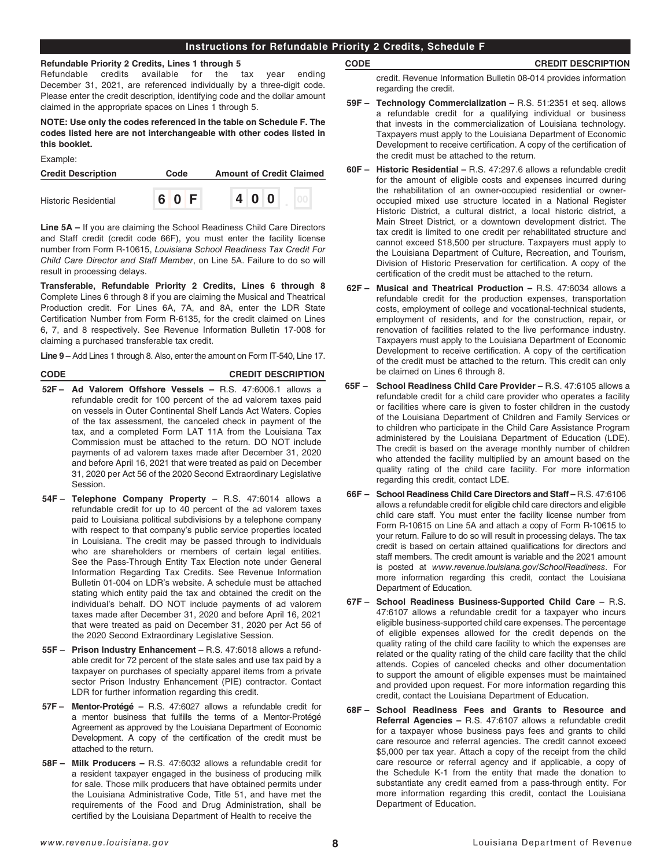# **Instructions for Refundable Priority 2 Credits, Schedule F**

## **Refundable Priority 2 Credits, Lines 1 through 5**

Refundable credits available for the tax year ending December 31, 2021, are referenced individually by a three-digit code. Please enter the credit description, identifying code and the dollar amount claimed in the appropriate spaces on Lines 1 through 5.

**NOTE: Use only the codes referenced in the table on Schedule F. The codes listed here are not interchangeable with other codes listed in this booklet.**

| Example: |  |
|----------|--|
|          |  |

| <b>Credit Description</b>   | Code  |  |     |  | <b>Amount of Credit Claimed</b> |
|-----------------------------|-------|--|-----|--|---------------------------------|
| <b>Historic Residential</b> | 6 0 F |  | 400 |  |                                 |

**Line 5A –** If you are claiming the School Readiness Child Care Directors and Staff credit (credit code 66F), you must enter the facility license number from Form R-10615, *Louisiana School Readiness Tax Credit For Child Care Director and Staff Member*, on Line 5A. Failure to do so will result in processing delays.

**Transferable, Refundable Priority 2 Credits, Lines 6 through 8**  Complete Lines 6 through 8 if you are claiming the Musical and Theatrical Production credit. For Lines 6A, 7A, and 8A, enter the LDR State Certification Number from Form R-6135, for the credit claimed on Lines 6, 7, and 8 respectively. See Revenue Information Bulletin 17-008 for claiming a purchased transferable tax credit.

**Line 9 –** Add Lines 1 through 8. Also, enter the amount on Form IT-540, Line 17.

## **CODE CREDIT DESCRIPTION**

- **52F – Ad Valorem Offshore Vessels –** R.S. 47:6006.1 allows a refundable credit for 100 percent of the ad valorem taxes paid on vessels in Outer Continental Shelf Lands Act Waters. Copies of the tax assessment, the canceled check in payment of the tax, and a completed Form LAT 11A from the Louisiana Tax Commission must be attached to the return. DO NOT include payments of ad valorem taxes made after December 31, 2020 and before April 16, 2021 that were treated as paid on December 31, 2020 per Act 56 of the 2020 Second Extraordinary Legislative Session.
- **54F – Telephone Company Property –** R.S. 47:6014 allows a refundable credit for up to 40 percent of the ad valorem taxes paid to Louisiana political subdivisions by a telephone company with respect to that company's public service properties located in Louisiana. The credit may be passed through to individuals who are shareholders or members of certain legal entities. See the Pass-Through Entity Tax Election note under General Information Regarding Tax Credits. See Revenue Information Bulletin 01-004 on LDR's website. A schedule must be attached stating which entity paid the tax and obtained the credit on the individual's behalf. DO NOT include payments of ad valorem taxes made after December 31, 2020 and before April 16, 2021 that were treated as paid on December 31, 2020 per Act 56 of the 2020 Second Extraordinary Legislative Session.
- **55F – Prison Industry Enhancement** R.S. 47:6018 allows a refundable credit for 72 percent of the state sales and use tax paid by a taxpayer on purchases of specialty apparel items from a private sector Prison Industry Enhancement (PIE) contractor. Contact LDR for further information regarding this credit.
- **57F – Mentor-Protégé –** R.S. 47:6027 allows a refundable credit for a mentor business that fulfills the terms of a Mentor-Protégé Agreement as approved by the Louisiana Department of Economic Development. A copy of the certification of the credit must be attached to the return.
- **58F – Milk Producers –** R.S. 47:6032 allows a refundable credit for a resident taxpayer engaged in the business of producing milk for sale. Those milk producers that have obtained permits under the Louisiana Administrative Code, Title 51, and have met the requirements of the Food and Drug Administration, shall be certified by the Louisiana Department of Health to receive the

# **CODE CREDIT DESCRIPTION**

credit. Revenue Information Bulletin 08-014 provides information regarding the credit.

- **59F – Technology Commercialization –** R.S. 51:2351 et seq. allows a refundable credit for a qualifying individual or business that invests in the commercialization of Louisiana technology. Taxpayers must apply to the Louisiana Department of Economic Development to receive certification. A copy of the certification of the credit must be attached to the return.
- **60F – Historic Residential –** R.S. 47:297.6 allows a refundable credit for the amount of eligible costs and expenses incurred during the rehabilitation of an owner-occupied residential or owneroccupied mixed use structure located in a National Register Historic District, a cultural district, a local historic district, a Main Street District, or a downtown development district. The tax credit is limited to one credit per rehabilitated structure and cannot exceed \$18,500 per structure. Taxpayers must apply to the Louisiana Department of Culture, Recreation, and Tourism, Division of Historic Preservation for certification. A copy of the certification of the credit must be attached to the return.
- **62F – Musical and Theatrical Production –** R.S. 47:6034 allows a refundable credit for the production expenses, transportation costs, employment of college and vocational-technical students, employment of residents, and for the construction, repair, or renovation of facilities related to the live performance industry. Taxpayers must apply to the Louisiana Department of Economic Development to receive certification. A copy of the certification of the credit must be attached to the return. This credit can only be claimed on Lines 6 through 8.
- **65F School Readiness Child Care Provider –** R.S. 47:6105 allows a refundable credit for a child care provider who operates a facility or facilities where care is given to foster children in the custody of the Louisiana Department of Children and Family Services or to children who participate in the Child Care Assistance Program administered by the Louisiana Department of Education (LDE). The credit is based on the average monthly number of children who attended the facility multiplied by an amount based on the quality rating of the child care facility. For more information regarding this credit, contact LDE.
- **66F – School Readiness Child Care Directors and Staff –** R.S. 47:6106 allows a refundable credit for eligible child care directors and eligible child care staff. You must enter the facility license number from Form R-10615 on Line 5A and attach a copy of Form R-10615 to your return. Failure to do so will result in processing delays. The tax credit is based on certain attained qualifications for directors and staff members. The credit amount is variable and the 2021 amount is posted at *[www.revenue.louisiana.gov/SchoolReadiness](http://www.revenue.louisiana.gov/SchoolReadiness)*. For more information regarding this credit, contact the Louisiana Department of Education.
- **67F – School Readiness Business-Supported Child Care –** R.S. 47:6107 allows a refundable credit for a taxpayer who incurs eligible business-supported child care expenses. The percentage of eligible expenses allowed for the credit depends on the quality rating of the child care facility to which the expenses are related or the quality rating of the child care facility that the child attends. Copies of canceled checks and other documentation to support the amount of eligible expenses must be maintained and provided upon request. For more information regarding this credit, contact the Louisiana Department of Education.
- **68F – School Readiness Fees and Grants to Resource and Referral Agencies –** R.S. 47:6107 allows a refundable credit for a taxpayer whose business pays fees and grants to child care resource and referral agencies. The credit cannot exceed \$5,000 per tax year. Attach a copy of the receipt from the child care resource or referral agency and if applicable, a copy of the Schedule K-1 from the entity that made the donation to substantiate any credit earned from a pass-through entity. For more information regarding this credit, contact the Louisiana Department of Education.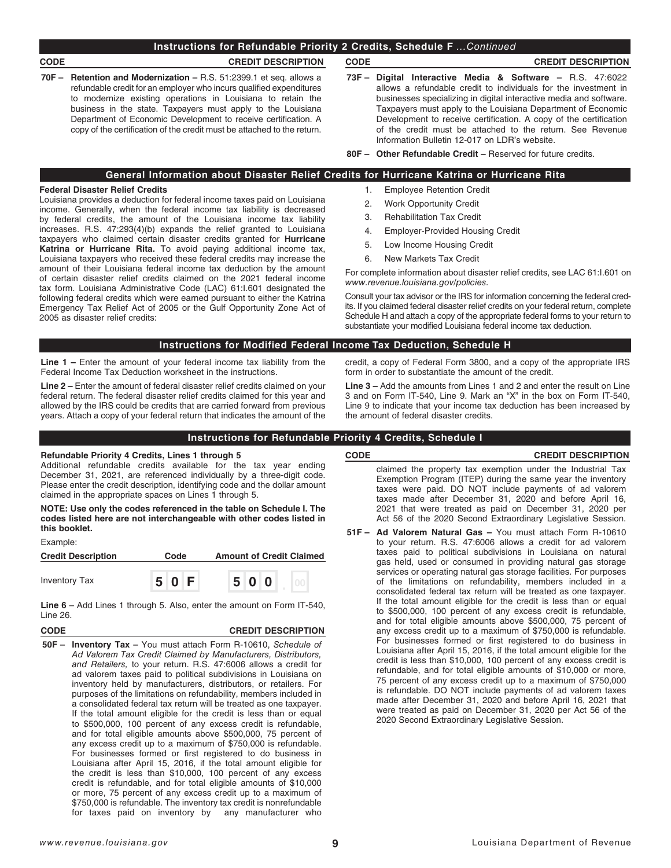## **CODE CREDIT DESCRIPTION CODE CREDIT DESCRIPTION**

- **70F – Retention and Modernization –** R.S. 51:2399.1 et seq. allows a refundable credit for an employer who incurs qualified expenditures to modernize existing operations in Louisiana to retain the business in the state. Taxpayers must apply to the Louisiana Department of Economic Development to receive certification. A copy of the certification of the credit must be attached to the return.
- 

- **73F – Digital Interactive Media & Software** R.S. 47:6022 allows a refundable credit to individuals for the investment in businesses specializing in digital interactive media and software. Taxpayers must apply to the Louisiana Department of Economic Development to receive certification. A copy of the certification of the credit must be attached to the return. See Revenue Information Bulletin 12-017 on LDR's website.
- **80F – Other Refundable Credit –** Reserved for future credits.

# **General Information about Disaster Relief Credits for Hurricane Katrina or Hurricane Rita**

## **Federal Disaster Relief Credits**

Louisiana provides a deduction for federal income taxes paid on Louisiana income. Generally, when the federal income tax liability is decreased by federal credits, the amount of the Louisiana income tax liability increases. R.S. 47:293(4)(b) expands the relief granted to Louisiana taxpayers who claimed certain disaster credits granted for **Hurricane Katrina or Hurricane Rita.** To avoid paying additional income tax, Louisiana taxpayers who received these federal credits may increase the amount of their Louisiana federal income tax deduction by the amount of certain disaster relief credits claimed on the 2021 federal income tax form. Louisiana Administrative Code (LAC) 61:I.601 designated the following federal credits which were earned pursuant to either the Katrina Emergency Tax Relief Act of 2005 or the Gulf Opportunity Zone Act of 2005 as disaster relief credits:

- 1. Employee Retention Credit
- 2. Work Opportunity Credit
- 3. Rehabilitation Tax Credit
- 4. Employer-Provided Housing Credit
- 5. Low Income Housing Credit
- 6. New Markets Tax Credit

For complete information about disaster relief credits, see LAC 61:I.601 on *www.revenue.louisiana.gov/policies.*

Consult your tax advisor or the IRS for information concerning the federal credits. If you claimed federal disaster relief credits on your federal return, complete Schedule H and attach a copy of the appropriate federal forms to your return to substantiate your modified Louisiana federal income tax deduction.

## **Instructions for Modified Federal Income Tax Deduction, Schedule H**

**Line 1 –** Enter the amount of your federal income tax liability from the Federal Income Tax Deduction worksheet in the instructions.

**Line 2 –** Enter the amount of federal disaster relief credits claimed on your federal return. The federal disaster relief credits claimed for this year and allowed by the IRS could be credits that are carried forward from previous years. Attach a copy of your federal return that indicates the amount of the credit, a copy of Federal Form 3800, and a copy of the appropriate IRS form in order to substantiate the amount of the credit.

**Line 3 –** Add the amounts from Lines 1 and 2 and enter the result on Line 3 and on Form IT-540, Line 9. Mark an "X" in the box on Form IT-540, Line 9 to indicate that your income tax deduction has been increased by the amount of federal disaster credits.

## **Instructions for Refundable Priority 4 Credits, Schedule I**

## **Refundable Priority 4 Credits, Lines 1 through 5**

Additional refundable credits available for the tax year ending December 31, 2021, are referenced individually by a three-digit code. Please enter the credit description, identifying code and the dollar amount claimed in the appropriate spaces on Lines 1 through 5.

**NOTE: Use only the codes referenced in the table on Schedule I. The codes listed here are not interchangeable with other codes listed in this booklet.**

## Example:

| <b>Credit Description</b> | Code  | <b>Amount of Credit Claimed</b> |
|---------------------------|-------|---------------------------------|
| <b>Inventory Tax</b>      | 5 0 F | 500                             |

**Line 6** – Add Lines 1 through 5. Also, enter the amount on Form IT-540, Line 26.

## **CODE CREDIT DESCRIPTION**

**50F – Inventory Tax –** You must attach Form R-10610, *Schedule of Ad Valorem Tax Credit Claimed by Manufacturers, Distributors, and Retailers,* to your return. R.S. 47:6006 allows a credit for ad valorem taxes paid to political subdivisions in Louisiana on inventory held by manufacturers, distributors, or retailers. For purposes of the limitations on refundability, members included in a consolidated federal tax return will be treated as one taxpayer. If the total amount eligible for the credit is less than or equal to \$500,000, 100 percent of any excess credit is refundable, and for total eligible amounts above \$500,000, 75 percent of any excess credit up to a maximum of \$750,000 is refundable. For businesses formed or first registered to do business in Louisiana after April 15, 2016, if the total amount eligible for the credit is less than \$10,000, 100 percent of any excess credit is refundable, and for total eligible amounts of \$10,000 or more, 75 percent of any excess credit up to a maximum of \$750,000 is refundable. The inventory tax credit is nonrefundable for taxes paid on inventory by any manufacturer who

## **CODE CREDIT DESCRIPTION**

claimed the property tax exemption under the Industrial Tax Exemption Program (ITEP) during the same year the inventory taxes were paid. DO NOT include payments of ad valorem taxes made after December 31, 2020 and before April 16, 2021 that were treated as paid on December 31, 2020 per Act 56 of the 2020 Second Extraordinary Legislative Session.

**51F – Ad Valorem Natural Gas –** You must attach Form R-10610 to your return. R.S. 47:6006 allows a credit for ad valorem taxes paid to political subdivisions in Louisiana on natural gas held, used or consumed in providing natural gas storage services or operating natural gas storage facilities. For purposes of the limitations on refundability, members included in a consolidated federal tax return will be treated as one taxpayer. If the total amount eligible for the credit is less than or equal to \$500,000, 100 percent of any excess credit is refundable, and for total eligible amounts above \$500,000, 75 percent of any excess credit up to a maximum of \$750,000 is refundable. For businesses formed or first registered to do business in Louisiana after April 15, 2016, if the total amount eligible for the credit is less than \$10,000, 100 percent of any excess credit is refundable, and for total eligible amounts of \$10,000 or more, 75 percent of any excess credit up to a maximum of \$750,000 is refundable. DO NOT include payments of ad valorem taxes made after December 31, 2020 and before April 16, 2021 that were treated as paid on December 31, 2020 per Act 56 of the 2020 Second Extraordinary Legislative Session.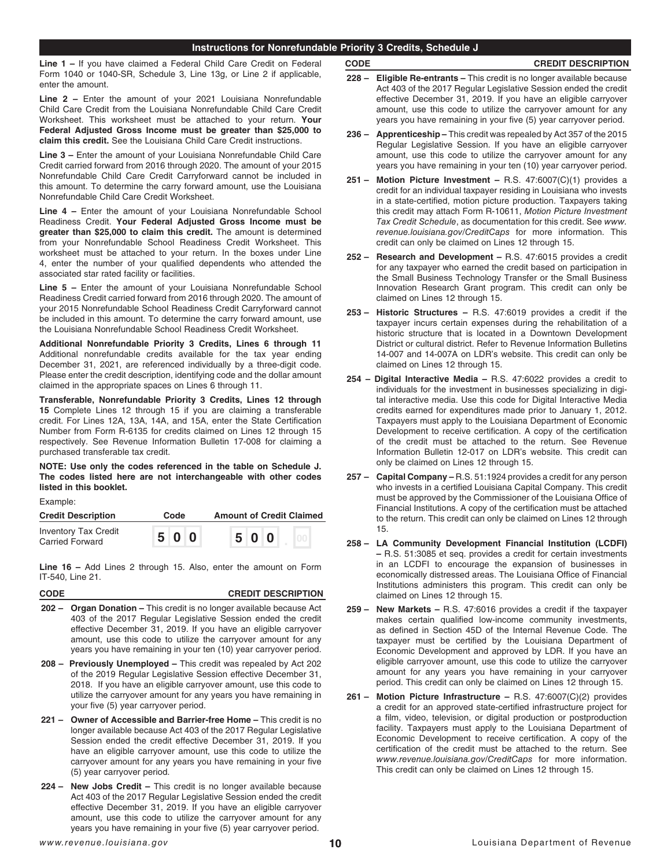# **Instructions for Nonrefundable Priority 3 Credits, Schedule J**

**Line 1 –** If you have claimed a Federal Child Care Credit on Federal Form 1040 or 1040-SR, Schedule 3, Line 13g, or Line 2 if applicable, enter the amount.

**Line 2 –** Enter the amount of your 2021 Louisiana Nonrefundable Child Care Credit from the Louisiana Nonrefundable Child Care Credit Worksheet. This worksheet must be attached to your return. **Your Federal Adjusted Gross Income must be greater than \$25,000 to claim this credit.** See the Louisiana Child Care Credit instructions.

**Line 3 –** Enter the amount of your Louisiana Nonrefundable Child Care Credit carried forward from 2016 through 2020. The amount of your 2015 Nonrefundable Child Care Credit Carryforward cannot be included in this amount. To determine the carry forward amount, use the Louisiana Nonrefundable Child Care Credit Worksheet.

**Line 4 –** Enter the amount of your Louisiana Nonrefundable School Readiness Credit. **Your Federal Adjusted Gross Income must be greater than \$25,000 to claim this credit.** The amount is determined from your Nonrefundable School Readiness Credit Worksheet. This worksheet must be attached to your return. In the boxes under Line 4, enter the number of your qualified dependents who attended the associated star rated facility or facilities.

**Line 5 –** Enter the amount of your Louisiana Nonrefundable School Readiness Credit carried forward from 2016 through 2020. The amount of your 2015 Nonrefundable School Readiness Credit Carryforward cannot be included in this amount. To determine the carry forward amount, use the Louisiana Nonrefundable School Readiness Credit Worksheet.

**Additional Nonrefundable Priority 3 Credits, Lines 6 through 11**  Additional nonrefundable credits available for the tax year ending December 31, 2021, are referenced individually by a three-digit code. Please enter the credit description, identifying code and the dollar amount claimed in the appropriate spaces on Lines 6 through 11.

**Transferable, Nonrefundable Priority 3 Credits, Lines 12 through 15** Complete Lines 12 through 15 if you are claiming a transferable credit. For Lines 12A, 13A, 14A, and 15A, enter the State Certification Number from Form R-6135 for credits claimed on Lines 12 through 15 respectively. See Revenue Information Bulletin 17-008 for claiming a purchased transferable tax credit.

**NOTE: Use only the codes referenced in the table on Schedule J. The codes listed here are not interchangeable with other codes listed in this booklet.**

Example:

| <b>Credit Description</b>                      | Code | <b>Amount of Credit Claimed</b> |
|------------------------------------------------|------|---------------------------------|
| <b>Inventory Tax Credit</b><br>Carried Forward | 500  | 500                             |

**Line 16 –** Add Lines 2 through 15. Also, enter the amount on Form IT-540, Line 21.

| CODE | <b>CREDIT DESCRIPTION</b> |
|------|---------------------------|
|      |                           |

- **202 – Organ Donation** This credit is no longer available because Act 403 of the 2017 Regular Legislative Session ended the credit effective December 31, 2019. If you have an eligible carryover amount, use this code to utilize the carryover amount for any years you have remaining in your ten (10) year carryover period.
- **208 Previously Unemployed** This credit was repealed by Act 202 of the 2019 Regular Legislative Session effective December 31, 2018. If you have an eligible carryover amount, use this code to utilize the carryover amount for any years you have remaining in your five (5) year carryover period.
- **221 Owner of Accessible and Barrier-free Home** This credit is no longer available because Act 403 of the 2017 Regular Legislative Session ended the credit effective December 31, 2019. If you have an eligible carryover amount, use this code to utilize the carryover amount for any years you have remaining in your five (5) year carryover period.
- **224 New Jobs Credit –** This credit is no longer available because Act 403 of the 2017 Regular Legislative Session ended the credit effective December 31, 2019. If you have an eligible carryover amount, use this code to utilize the carryover amount for any years you have remaining in your five (5) year carryover period.

## **CODE CREDIT DESCRIPTION**

- **228 Eligible Re-entrants –** This credit is no longer available because Act 403 of the 2017 Regular Legislative Session ended the credit effective December 31, 2019. If you have an eligible carryover amount, use this code to utilize the carryover amount for any years you have remaining in your five (5) year carryover period.
- **236 Apprenticeship –** This credit was repealed by Act 357 of the 2015 Regular Legislative Session. If you have an eligible carryover amount, use this code to utilize the carryover amount for any years you have remaining in your ten (10) year carryover period.
- **251 Motion Picture Investment –** R.S. 47:6007(C)(1) provides a credit for an individual taxpayer residing in Louisiana who invests in a state-certified, motion picture production. Taxpayers taking this credit may attach Form R-10611, *Motion Picture Investment Tax Credit Schedule*, as documentation for this credit. See *[www.](http://www.revenue.louisiana.gov/CreditCaps) [revenue.louisiana.gov/CreditCaps](http://www.revenue.louisiana.gov/CreditCaps)* for more information. This credit can only be claimed on Lines 12 through 15.
- **252 Research and Development –** R.S. 47:6015 provides a credit for any taxpayer who earned the credit based on participation in the Small Business Technology Transfer or the Small Business Innovation Research Grant program. This credit can only be claimed on Lines 12 through 15.
- **253 Historic Structures –** R.S. 47:6019 provides a credit if the taxpayer incurs certain expenses during the rehabilitation of a historic structure that is located in a Downtown Development District or cultural district. Refer to Revenue Information Bulletins 14-007 and 14-007A on LDR's website. This credit can only be claimed on Lines 12 through 15.
- **254 Digital Interactive Media –** R.S. 47:6022 provides a credit to individuals for the investment in businesses specializing in digital interactive media. Use this code for Digital Interactive Media credits earned for expenditures made prior to January 1, 2012. Taxpayers must apply to the Louisiana Department of Economic Development to receive certification. A copy of the certification of the credit must be attached to the return. See Revenue Information Bulletin 12-017 on LDR's website. This credit can only be claimed on Lines 12 through 15.
- **257 Capital Company** R.S. 51:1924 provides a credit for any person who invests in a certified Louisiana Capital Company. This credit must be approved by the Commissioner of the Louisiana Office of Financial Institutions. A copy of the certification must be attached to the return. This credit can only be claimed on Lines 12 through 15.
- **258 LA Community Development Financial Institution (LCDFI) –** R.S. 51:3085 et seq. provides a credit for certain investments in an LCDFI to encourage the expansion of businesses in economically distressed areas. The Louisiana Office of Financial Institutions administers this program. This credit can only be claimed on Lines 12 through 15.
- **259 New Markets –** R.S. 47:6016 provides a credit if the taxpayer makes certain qualified low-income community investments, as defined in Section 45D of the Internal Revenue Code. The taxpayer must be certified by the Louisiana Department of Economic Development and approved by LDR. If you have an eligible carryover amount, use this code to utilize the carryover amount for any years you have remaining in your carryover period. This credit can only be claimed on Lines 12 through 15.
- **261 Motion Picture Infrastructure –** R.S. 47:6007(C)(2) provides a credit for an approved state-certified infrastructure project for a film, video, television, or digital production or postproduction facility. Taxpayers must apply to the Louisiana Department of Economic Development to receive certification. A copy of the certification of the credit must be attached to the return. See *[www.revenue.louisiana.gov/CreditCaps](http://www.revenue.louisiana.gov/CreditCaps)* for more information. This credit can only be claimed on Lines 12 through 15.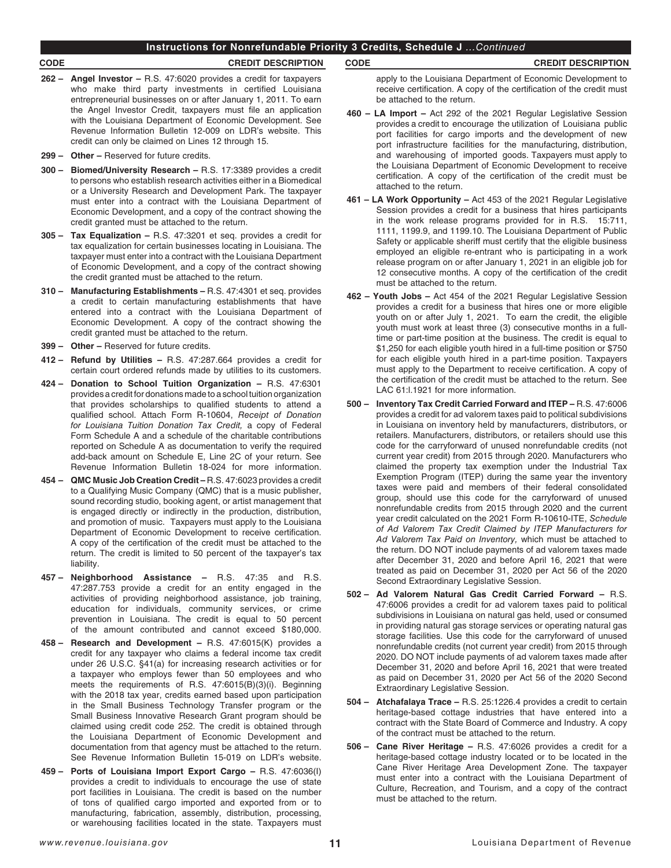# **Instructions for Nonrefundable Priority 3 Credits, Schedule J** *...Continued*

## **CODE CREDIT DESCRIPTION CODE CREDIT DESCRIPTION**

- **262 Angel Investor** R.S. 47:6020 provides a credit for taxpayers who make third party investments in certified Louisiana entrepreneurial businesses on or after January 1, 2011. To earn the Angel Investor Credit, taxpayers must file an application with the Louisiana Department of Economic Development. See Revenue Information Bulletin 12-009 on LDR's website. This credit can only be claimed on Lines 12 through 15.
- **299 Other –** Reserved for future credits.
- **300 Biomed/University Research** R.S. 17:3389 provides a credit to persons who establish research activities either in a Biomedical or a University Research and Development Park. The taxpayer must enter into a contract with the Louisiana Department of Economic Development, and a copy of the contract showing the credit granted must be attached to the return.
- **305 Tax Equalization –** R.S. 47:3201 et seq. provides a credit for tax equalization for certain businesses locating in Louisiana. The taxpayer must enter into a contract with the Louisiana Department of Economic Development, and a copy of the contract showing the credit granted must be attached to the return.
- **310 Manufacturing Establishments –** R.S. 47:4301 et seq. provides a credit to certain manufacturing establishments that have entered into a contract with the Louisiana Department of Economic Development. A copy of the contract showing the credit granted must be attached to the return.
- **399 Other** Reserved for future credits.
- **412 Refund by Utilities –** R.S. 47:287.664 provides a credit for certain court ordered refunds made by utilities to its customers.
- **424 Donation to School Tuition Organization –** R.S. 47:6301 provides a credit for donations made to a school tuition organization that provides scholarships to qualified students to attend a qualified school. Attach Form R-10604, *Receipt of Donation for Louisiana Tuition Donation Tax Credit,* a copy of Federal Form Schedule A and a schedule of the charitable contributions reported on Schedule A as documentation to verify the required add-back amount on Schedule E, Line 2C of your return. See Revenue Information Bulletin 18-024 for more information.
- **454 QMC Music Job Creation Credit** R.S. 47:6023 provides a credit to a Qualifying Music Company (QMC) that is a music publisher, sound recording studio, booking agent, or artist management that is engaged directly or indirectly in the production, distribution, and promotion of music. Taxpayers must apply to the Louisiana Department of Economic Development to receive certification. A copy of the certification of the credit must be attached to the return. The credit is limited to 50 percent of the taxpayer's tax liability.
- **457 Neighborhood Assistance –** R.S. 47:35 and R.S. 47:287.753 provide a credit for an entity engaged in the activities of providing neighborhood assistance, job training, education for individuals, community services, or crime prevention in Louisiana. The credit is equal to 50 percent of the amount contributed and cannot exceed \$180,000.
- **458 – Research and Development –** R.S. 47:6015(K) provides a credit for any taxpayer who claims a federal income tax credit under 26 U.S.C. §41(a) for increasing research activities or for a taxpayer who employs fewer than 50 employees and who meets the requirements of R.S. 47:6015(B)(3)(i). Beginning with the 2018 tax year, credits earned based upon participation in the Small Business Technology Transfer program or the Small Business Innovative Research Grant program should be claimed using credit code 252. The credit is obtained through the Louisiana Department of Economic Development and documentation from that agency must be attached to the return. See Revenue Information Bulletin 15-019 on LDR's website.
- **459 Ports of Louisiana Import Export Cargo –** R.S. 47:6036(I) provides a credit to individuals to encourage the use of state port facilities in Louisiana. The credit is based on the number of tons of qualified cargo imported and exported from or to manufacturing, fabrication, assembly, distribution, processing, or warehousing facilities located in the state. Taxpayers must

apply to the Louisiana Department of Economic Development to receive certification. A copy of the certification of the credit must be attached to the return.

- **460 LA Import –** Act 292 of the 2021 Regular Legislative Session provides a credit to encourage the utilization of Louisiana public port facilities for cargo imports and the development of new port infrastructure facilities for the manufacturing, distribution, and warehousing of imported goods. Taxpayers must apply to the Louisiana Department of Economic Development to receive certification. A copy of the certification of the credit must be attached to the return.
- **461 LA Work Opportunity –** Act 453 of the 2021 Regular Legislative Session provides a credit for a business that hires participants in the work release programs provided for in R.S. 15:711, 1111, 1199.9, and 1199.10. The Louisiana Department of Public Safety or applicable sheriff must certify that the eligible business employed an eligible re-entrant who is participating in a work release program on or after January 1, 2021 in an eligible job for 12 consecutive months. A copy of the certification of the credit must be attached to the return.
- **462 Youth Jobs –** Act 454 of the 2021 Regular Legislative Session provides a credit for a business that hires one or more eligible youth on or after July 1, 2021. To earn the credit, the eligible youth must work at least three (3) consecutive months in a fulltime or part-time position at the business. The credit is equal to \$1,250 for each eligible youth hired in a full-time position or \$750 for each eligible youth hired in a part-time position. Taxpayers must apply to the Department to receive certification. A copy of the certification of the credit must be attached to the return. See LAC 61:l.1921 for more information.
- **500 Inventory Tax Credit Carried Forward and ITEP –** R.S. 47:6006 provides a credit for ad valorem taxes paid to political subdivisions in Louisiana on inventory held by manufacturers, distributors, or retailers. Manufacturers, distributors, or retailers should use this code for the carryforward of unused nonrefundable credits (not current year credit) from 2015 through 2020. Manufacturers who claimed the property tax exemption under the Industrial Tax Exemption Program (ITEP) during the same year the inventory taxes were paid and members of their federal consolidated group, should use this code for the carryforward of unused nonrefundable credits from 2015 through 2020 and the current year credit calculated on the 2021 Form R-10610-ITE, *Schedule of Ad Valorem Tax Credit Claimed by ITEP Manufacturers for Ad Valorem Tax Paid on Inventory,* which must be attached to the return. DO NOT include payments of ad valorem taxes made after December 31, 2020 and before April 16, 2021 that were treated as paid on December 31, 2020 per Act 56 of the 2020 Second Extraordinary Legislative Session.
- **502 Ad Valorem Natural Gas Credit Carried Forward** R.S. 47:6006 provides a credit for ad valorem taxes paid to political subdivisions in Louisiana on natural gas held, used or consumed in providing natural gas storage services or operating natural gas storage facilities. Use this code for the carryforward of unused nonrefundable credits (not current year credit) from 2015 through 2020. DO NOT include payments of ad valorem taxes made after December 31, 2020 and before April 16, 2021 that were treated as paid on December 31, 2020 per Act 56 of the 2020 Second Extraordinary Legislative Session.
- **504 Atchafalaya Trace** R.S. 25:1226.4 provides a credit to certain heritage-based cottage industries that have entered into a contract with the State Board of Commerce and Industry. A copy of the contract must be attached to the return.
- **506 Cane River Heritage –** R.S. 47:6026 provides a credit for a heritage-based cottage industry located or to be located in the Cane River Heritage Area Development Zone. The taxpayer must enter into a contract with the Louisiana Department of Culture, Recreation, and Tourism, and a copy of the contract must be attached to the return.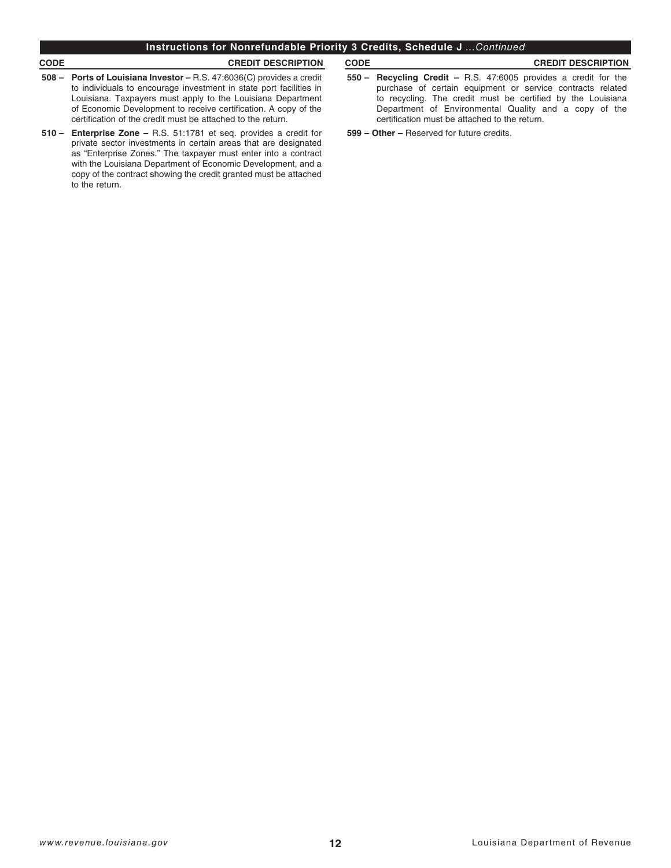# **Instructions for Nonrefundable Priority 3 Credits, Schedule J** *...Continued*

# **CODE CREDIT DESCRIPTION CODE CREDIT DESCRIPTION**

- **508 Ports of Louisiana Investor –** R.S. 47:6036(C) provides a credit to individuals to encourage investment in state port facilities in Louisiana. Taxpayers must apply to the Louisiana Department of Economic Development to receive certification. A copy of the certification of the credit must be attached to the return.
- **510 Enterprise Zone –** R.S. 51:1781 et seq. provides a credit for private sector investments in certain areas that are designated as "Enterprise Zones." The taxpayer must enter into a contract with the Louisiana Department of Economic Development, and a copy of the contract showing the credit granted must be attached to the return.
- **550 Recycling Credit –** R.S. 47:6005 provides a credit for the purchase of certain equipment or service contracts related to recycling. The credit must be certified by the Louisiana Department of Environmental Quality and a copy of the certification must be attached to the return.

**599 – Other –** Reserved for future credits.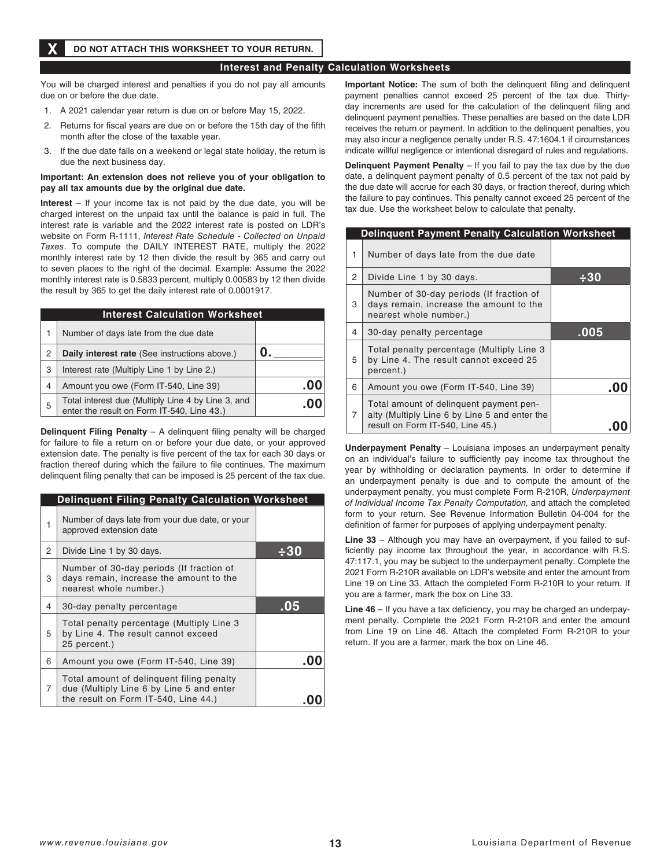# **Interest and Penalty Calculation Worksheets**

You will be charged interest and penalties if you do not pay all amounts due on or before the due date.

- 1. A 2021 calendar year return is due on or before May 15, 2022.
- 2. Returns for fiscal years are due on or before the 15th day of the fifth month after the close of the taxable year.
- 3. If the due date falls on a weekend or legal state holiday, the return is due the next business day.

## **Important: An extension does not relieve you of your obligation to pay all tax amounts due by the original due date.**

**Interest** – If your income tax is not paid by the due date, you will be charged interest on the unpaid tax until the balance is paid in full. The interest rate is variable and the 2022 interest rate is posted on LDR's website on Form R-1111, *Interest Rate Schedule - Collected on Unpaid Taxes*. To compute the DAILY INTEREST RATE, multiply the 2022 monthly interest rate by 12 then divide the result by 365 and carry out to seven places to the right of the decimal. Example: Assume the 2022 monthly interest rate is 0.5833 percent, multiply 0.00583 by 12 then divide the result by 365 to get the daily interest rate of 0.0001917.

| <b>Interest Calculation Worksheet</b> |                                                                                                  |     |  |  |
|---------------------------------------|--------------------------------------------------------------------------------------------------|-----|--|--|
| 1                                     | Number of days late from the due date                                                            |     |  |  |
| 2                                     | Daily interest rate (See instructions above.)                                                    |     |  |  |
| 3                                     | Interest rate (Multiply Line 1 by Line 2.)                                                       |     |  |  |
| 4                                     | Amount you owe (Form IT-540, Line 39)                                                            | .υι |  |  |
| 5                                     | Total interest due (Multiply Line 4 by Line 3, and<br>enter the result on Form IT-540, Line 43.) |     |  |  |

**Delinquent Filing Penalty** – A delinquent filing penalty will be charged for failure to file a return on or before your due date, or your approved extension date. The penalty is five percent of the tax for each 30 days or fraction thereof during which the failure to file continues. The maximum delinquent filing penalty that can be imposed is 25 percent of the tax due.

|   | <b>Delinquent Filing Penalty Calculation Worksheet</b>                                                                        |     |
|---|-------------------------------------------------------------------------------------------------------------------------------|-----|
| 1 | Number of days late from your due date, or your<br>approved extension date                                                    |     |
| 2 | Divide Line 1 by 30 days.                                                                                                     |     |
| 3 | Number of 30-day periods (If fraction of<br>days remain, increase the amount to the<br>nearest whole number.)                 |     |
| 4 | 30-day penalty percentage                                                                                                     | .05 |
| 5 | Total penalty percentage (Multiply Line 3<br>by Line 4. The result cannot exceed<br>25 percent.)                              |     |
| 6 | Amount you owe (Form IT-540, Line 39)                                                                                         |     |
| 7 | Total amount of delinguent filing penalty<br>due (Multiply Line 6 by Line 5 and enter<br>the result on Form IT-540, Line 44.) |     |

**Important Notice:** The sum of both the delinquent filing and delinquent payment penalties cannot exceed 25 percent of the tax due. Thirtyday increments are used for the calculation of the delinquent filing and delinquent payment penalties. These penalties are based on the date LDR receives the return or payment. In addition to the delinquent penalties, you may also incur a negligence penalty under R.S. 47:1604.1 if circumstances indicate willful negligence or intentional disregard of rules and regulations.

**Delinquent Payment Penalty** – If you fail to pay the tax due by the due date, a delinquent payment penalty of 0.5 percent of the tax not paid by the due date will accrue for each 30 days, or fraction thereof, during which the failure to pay continues. This penalty cannot exceed 25 percent of the tax due. Use the worksheet below to calculate that penalty.

| <b>Delinquent Payment Penalty Calculation Worksheet</b> |                                                                                                                              |      |
|---------------------------------------------------------|------------------------------------------------------------------------------------------------------------------------------|------|
| 1                                                       | Number of days late from the due date                                                                                        |      |
| 2                                                       | Divide Line 1 by 30 days.                                                                                                    | -30  |
| 3                                                       | Number of 30-day periods (If fraction of<br>days remain, increase the amount to the<br>nearest whole number.)                |      |
| 4                                                       | 30-day penalty percentage                                                                                                    | .005 |
| 5                                                       | Total penalty percentage (Multiply Line 3<br>by Line 4. The result cannot exceed 25<br>percent.)                             |      |
| 6                                                       | Amount you owe (Form IT-540, Line 39)                                                                                        | -00  |
| 7                                                       | Total amount of delinguent payment pen-<br>alty (Multiply Line 6 by Line 5 and enter the<br>result on Form IT-540, Line 45.) |      |

**Underpayment Penalty** – Louisiana imposes an underpayment penalty on an individual's failure to sufficiently pay income tax throughout the year by withholding or declaration payments. In order to determine if an underpayment penalty is due and to compute the amount of the underpayment penalty, you must complete Form R-210R, *Underpayment of Individual Income Tax Penalty Computation,* and attach the completed form to your return. See Revenue Information Bulletin 04-004 for the definition of farmer for purposes of applying underpayment penalty.

**Line 33** – Although you may have an overpayment, if you failed to sufficiently pay income tax throughout the year, in accordance with R.S. 47:117.1, you may be subject to the underpayment penalty. Complete the 2021 Form R-210R available on LDR's website and enter the amount from Line 19 on Line 33. Attach the completed Form R-210R to your return. If you are a farmer, mark the box on Line 33.

**Line 46** – If you have a tax deficiency, you may be charged an underpayment penalty. Complete the 2021 Form R-210R and enter the amount from Line 19 on Line 46. Attach the completed Form R-210R to your return. If you are a farmer, mark the box on Line 46.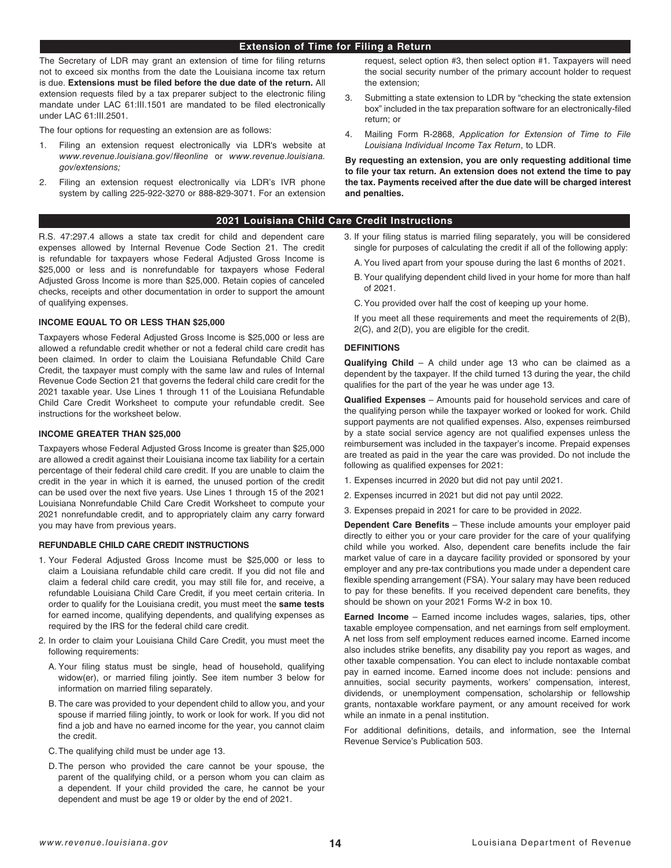## **Extension of Time for Filing a Return**

The Secretary of LDR may grant an extension of time for filing returns not to exceed six months from the date the Louisiana income tax return is due. **Extensions must be filed before the due date of the return.** All extension requests filed by a tax preparer subject to the electronic filing mandate under LAC 61:III.1501 are mandated to be filed electronically under LAC 61:III.2501.

The four options for requesting an extension are as follows:

- 1. Filing an extension request electronically via LDR's website at *[www.revenue.louisiana.gov/fileonline](http://www.revenue.louisiana.gov/fileonline)* or *www.revenue.louisiana. gov/extensions;*
- 2. Filing an extension request electronically via LDR's IVR phone system by calling 225-922-3270 or 888-829-3071. For an extension

## **2021 Louisiana Child Care Credit Instructions**

R.S. 47:297.4 allows a state tax credit for child and dependent care expenses allowed by Internal Revenue Code Section 21. The credit is refundable for taxpayers whose Federal Adjusted Gross Income is \$25,000 or less and is nonrefundable for taxpayers whose Federal Adjusted Gross Income is more than \$25,000. Retain copies of canceled checks, receipts and other documentation in order to support the amount of qualifying expenses.

## **INCOME EQUAL TO OR LESS THAN \$25,000**

Taxpayers whose Federal Adjusted Gross Income is \$25,000 or less are allowed a refundable credit whether or not a federal child care credit has been claimed. In order to claim the Louisiana Refundable Child Care Credit, the taxpayer must comply with the same law and rules of Internal Revenue Code Section 21 that governs the federal child care credit for the 2021 taxable year. Use Lines 1 through 11 of the Louisiana Refundable Child Care Credit Worksheet to compute your refundable credit. See instructions for the worksheet below.

## **INCOME GREATER THAN \$25,000**

Taxpayers whose Federal Adjusted Gross Income is greater than \$25,000 are allowed a credit against their Louisiana income tax liability for a certain percentage of their federal child care credit. If you are unable to claim the credit in the year in which it is earned, the unused portion of the credit can be used over the next five years. Use Lines 1 through 15 of the 2021 Louisiana Nonrefundable Child Care Credit Worksheet to compute your 2021 nonrefundable credit, and to appropriately claim any carry forward you may have from previous years.

## **REFUNDABLE CHILD CARE CREDIT INSTRUCTIONS**

- 1. Your Federal Adjusted Gross Income must be \$25,000 or less to claim a Louisiana refundable child care credit. If you did not file and claim a federal child care credit, you may still file for, and receive, a refundable Louisiana Child Care Credit, if you meet certain criteria. In order to qualify for the Louisiana credit, you must meet the **same tests** for earned income, qualifying dependents, and qualifying expenses as required by the IRS for the federal child care credit.
- 2. In order to claim your Louisiana Child Care Credit, you must meet the following requirements:
	- A. Your filing status must be single, head of household, qualifying widow(er), or married filing jointly. See item number 3 below for information on married filing separately.
	- B. The care was provided to your dependent child to allow you, and your spouse if married filing jointly, to work or look for work. If you did not find a job and have no earned income for the year, you cannot claim the credit.
	- C.The qualifying child must be under age 13.
	- D.The person who provided the care cannot be your spouse, the parent of the qualifying child, or a person whom you can claim as a dependent. If your child provided the care, he cannot be your dependent and must be age 19 or older by the end of 2021.

request, select option #3, then select option #1. Taxpayers will need the social security number of the primary account holder to request the extension;

- 3. Submitting a state extension to LDR by "checking the state extension box" included in the tax preparation software for an electronically-filed return; or
- 4. Mailing Form R-2868, *Application for Extension of Time to File Louisiana Individual Income Tax Return*, to LDR.

**By requesting an extension, you are only requesting additional time to file your tax return. An extension does not extend the time to pay the tax. Payments received after the due date will be charged interest and penalties.**

# 3. If your filing status is married filing separately, you will be considered single for purposes of calculating the credit if all of the following apply:

- A. You lived apart from your spouse during the last 6 months of 2021.
- B. Your qualifying dependent child lived in your home for more than half of 2021.
- C.You provided over half the cost of keeping up your home.
- If you meet all these requirements and meet the requirements of 2(B), 2(C), and 2(D), you are eligible for the credit.

## **DEFINITIONS**

**Qualifying Child** – A child under age 13 who can be claimed as a dependent by the taxpayer. If the child turned 13 during the year, the child qualifies for the part of the year he was under age 13.

**Qualified Expenses** – Amounts paid for household services and care of the qualifying person while the taxpayer worked or looked for work. Child support payments are not qualified expenses. Also, expenses reimbursed by a state social service agency are not qualified expenses unless the reimbursement was included in the taxpayer's income. Prepaid expenses are treated as paid in the year the care was provided. Do not include the following as qualified expenses for 2021:

- 1. Expenses incurred in 2020 but did not pay until 2021.
- 2. Expenses incurred in 2021 but did not pay until 2022.
- 3. Expenses prepaid in 2021 for care to be provided in 2022.

**Dependent Care Benefits** – These include amounts your employer paid directly to either you or your care provider for the care of your qualifying child while you worked. Also, dependent care benefits include the fair market value of care in a daycare facility provided or sponsored by your employer and any pre-tax contributions you made under a dependent care flexible spending arrangement (FSA). Your salary may have been reduced to pay for these benefits. If you received dependent care benefits, they should be shown on your 2021 Forms W-2 in box 10.

**Earned Income** – Earned income includes wages, salaries, tips, other taxable employee compensation, and net earnings from self employment. A net loss from self employment reduces earned income. Earned income also includes strike benefits, any disability pay you report as wages, and other taxable compensation. You can elect to include nontaxable combat pay in earned income. Earned income does not include: pensions and annuities, social security payments, workers' compensation, interest, dividends, or unemployment compensation, scholarship or fellowship grants, nontaxable workfare payment, or any amount received for work while an inmate in a penal institution.

For additional definitions, details, and information, see the Internal Revenue Service's Publication 503.